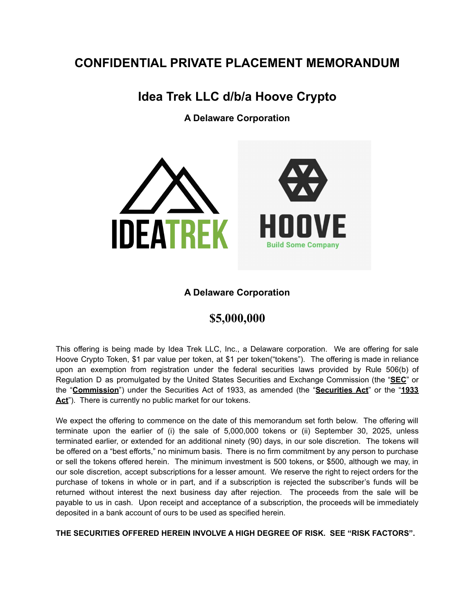# **CONFIDENTIAL PRIVATE PLACEMENT MEMORANDUM**

# **Idea Trek LLC d/b/a Hoove Crypto**

**A Delaware Corporation**



# **A Delaware Corporation**

# **\$5,000,000**

This offering is being made by Idea Trek LLC, Inc., a Delaware corporation. We are offering for sale Hoove Crypto Token, \$1 par value per token, at \$1 per token("tokens"). The offering is made in reliance upon an exemption from registration under the federal securities laws provided by Rule 506(b) of Regulation D as promulgated by the United States Securities and Exchange Commission (the "**SEC**" or the "**Commission**") under the Securities Act of 1933, as amended (the "**Securities Act**" or the "**1933** Act"). There is currently no public market for our tokens.

We expect the offering to commence on the date of this memorandum set forth below. The offering will terminate upon the earlier of (i) the sale of 5,000,000 tokens or (ii) September 30, 2025, unless terminated earlier, or extended for an additional ninety (90) days, in our sole discretion. The tokens will be offered on a "best efforts," no minimum basis. There is no firm commitment by any person to purchase or sell the tokens offered herein. The minimum investment is 500 tokens, or \$500, although we may, in our sole discretion, accept subscriptions for a lesser amount. We reserve the right to reject orders for the purchase of tokens in whole or in part, and if a subscription is rejected the subscriber's funds will be returned without interest the next business day after rejection. The proceeds from the sale will be payable to us in cash. Upon receipt and acceptance of a subscription, the proceeds will be immediately deposited in a bank account of ours to be used as specified herein.

**THE SECURITIES OFFERED HEREIN INVOLVE A HIGH DEGREE OF RISK. SEE "RISK FACTORS".**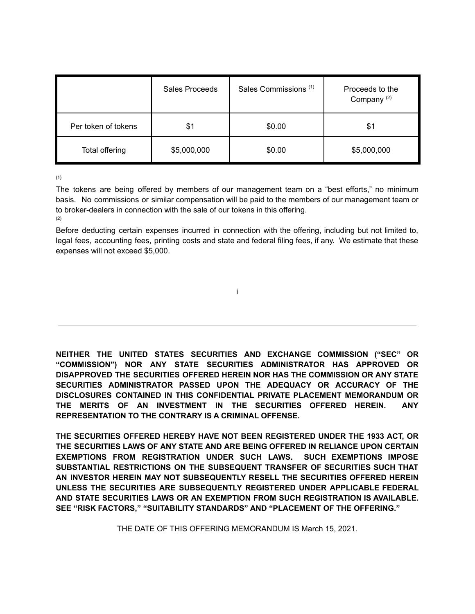|                     | Sales Proceeds | Sales Commissions <sup>(1)</sup> | Proceeds to the<br>Company <sup>(2)</sup> |
|---------------------|----------------|----------------------------------|-------------------------------------------|
| Per token of tokens | \$1            | \$0.00                           | \$1                                       |
| Total offering      | \$5,000,000    | \$0.00                           | \$5,000,000                               |

(1)

The tokens are being offered by members of our management team on a "best efforts," no minimum basis. No commissions or similar compensation will be paid to the members of our management team or to broker-dealers in connection with the sale of our tokens in this offering. (2)

Before deducting certain expenses incurred in connection with the offering, including but not limited to, legal fees, accounting fees, printing costs and state and federal filing fees, if any. We estimate that these expenses will not exceed \$5,000.

i

**NEITHER THE UNITED STATES SECURITIES AND EXCHANGE COMMISSION ("SEC" OR "COMMISSION") NOR ANY STATE SECURITIES ADMINISTRATOR HAS APPROVED OR DISAPPROVED THE SECURITIES OFFERED HEREIN NOR HAS THE COMMISSION OR ANY STATE SECURITIES ADMINISTRATOR PASSED UPON THE ADEQUACY OR ACCURACY OF THE DISCLOSURES CONTAINED IN THIS CONFIDENTIAL PRIVATE PLACEMENT MEMORANDUM OR THE MERITS OF AN INVESTMENT IN THE SECURITIES OFFERED HEREIN. ANY REPRESENTATION TO THE CONTRARY IS A CRIMINAL OFFENSE.**

**THE SECURITIES OFFERED HEREBY HAVE NOT BEEN REGISTERED UNDER THE 1933 ACT, OR THE SECURITIES LAWS OF ANY STATE AND ARE BEING OFFERED IN RELIANCE UPON CERTAIN EXEMPTIONS FROM REGISTRATION UNDER SUCH LAWS. SUCH EXEMPTIONS IMPOSE SUBSTANTIAL RESTRICTIONS ON THE SUBSEQUENT TRANSFER OF SECURITIES SUCH THAT AN INVESTOR HEREIN MAY NOT SUBSEQUENTLY RESELL THE SECURITIES OFFERED HEREIN UNLESS THE SECURITIES ARE SUBSEQUENTLY REGISTERED UNDER APPLICABLE FEDERAL AND STATE SECURITIES LAWS OR AN EXEMPTION FROM SUCH REGISTRATION IS AVAILABLE. SEE "RISK FACTORS," "SUITABILITY STANDARDS" AND "PLACEMENT OF THE OFFERING."**

THE DATE OF THIS OFFERING MEMORANDUM IS March 15, 2021.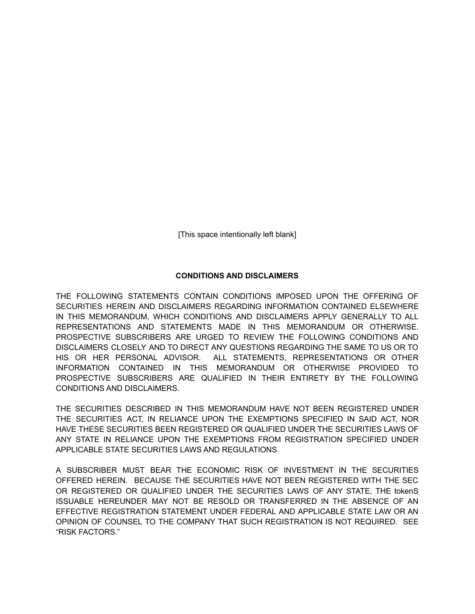[This space intentionally left blank]

# **CONDITIONS AND DISCLAIMERS**

THE FOLLOWING STATEMENTS CONTAIN CONDITIONS IMPOSED UPON THE OFFERING OF SECURITIES HEREIN AND DISCLAIMERS REGARDING INFORMATION CONTAINED ELSEWHERE IN THIS MEMORANDUM, WHICH CONDITIONS AND DISCLAIMERS APPLY GENERALLY TO ALL REPRESENTATIONS AND STATEMENTS MADE IN THIS MEMORANDUM OR OTHERWISE. PROSPECTIVE SUBSCRIBERS ARE URGED TO REVIEW THE FOLLOWING CONDITIONS AND DISCLAIMERS CLOSELY AND TO DIRECT ANY QUESTIONS REGARDING THE SAME TO US OR TO HIS OR HER PERSONAL ADVISOR. ALL STATEMENTS, REPRESENTATIONS OR OTHER INFORMATION CONTAINED IN THIS MEMORANDUM OR OTHERWISE PROVIDED TO PROSPECTIVE SUBSCRIBERS ARE QUALIFIED IN THEIR ENTIRETY BY THE FOLLOWING CONDITIONS AND DISCLAIMERS.

THE SECURITIES DESCRIBED IN THIS MEMORANDUM HAVE NOT BEEN REGISTERED UNDER THE SECURITIES ACT, IN RELIANCE UPON THE EXEMPTIONS SPECIFIED IN SAID ACT, NOR HAVE THESE SECURITIES BEEN REGISTERED OR QUALIFIED UNDER THE SECURITIES LAWS OF ANY STATE IN RELIANCE UPON THE EXEMPTIONS FROM REGISTRATION SPECIFIED UNDER APPLICABLE STATE SECURITIES LAWS AND REGULATIONS.

A SUBSCRIBER MUST BEAR THE ECONOMIC RISK OF INVESTMENT IN THE SECURITIES OFFERED HEREIN. BECAUSE THE SECURITIES HAVE NOT BEEN REGISTERED WITH THE SEC OR REGISTERED OR QUALIFIED UNDER THE SECURITIES LAWS OF ANY STATE, THE tokenS ISSUABLE HEREUNDER MAY NOT BE RESOLD OR TRANSFERRED IN THE ABSENCE OF AN EFFECTIVE REGISTRATION STATEMENT UNDER FEDERAL AND APPLICABLE STATE LAW OR AN OPINION OF COUNSEL TO THE COMPANY THAT SUCH REGISTRATION IS NOT REQUIRED. SEE "RISK FACTORS."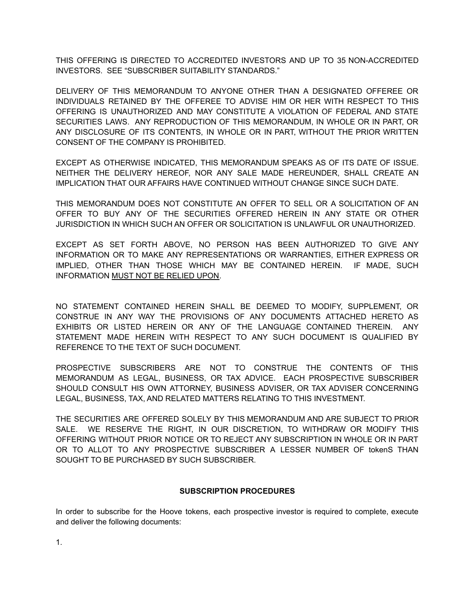THIS OFFERING IS DIRECTED TO ACCREDITED INVESTORS AND UP TO 35 NON-ACCREDITED INVESTORS. SEE "SUBSCRIBER SUITABILITY STANDARDS."

DELIVERY OF THIS MEMORANDUM TO ANYONE OTHER THAN A DESIGNATED OFFEREE OR INDIVIDUALS RETAINED BY THE OFFEREE TO ADVISE HIM OR HER WITH RESPECT TO THIS OFFERING IS UNAUTHORIZED AND MAY CONSTITUTE A VIOLATION OF FEDERAL AND STATE SECURITIES LAWS. ANY REPRODUCTION OF THIS MEMORANDUM, IN WHOLE OR IN PART, OR ANY DISCLOSURE OF ITS CONTENTS, IN WHOLE OR IN PART, WITHOUT THE PRIOR WRITTEN CONSENT OF THE COMPANY IS PROHIBITED.

EXCEPT AS OTHERWISE INDICATED, THIS MEMORANDUM SPEAKS AS OF ITS DATE OF ISSUE. NEITHER THE DELIVERY HEREOF, NOR ANY SALE MADE HEREUNDER, SHALL CREATE AN IMPLICATION THAT OUR AFFAIRS HAVE CONTINUED WITHOUT CHANGE SINCE SUCH DATE.

THIS MEMORANDUM DOES NOT CONSTITUTE AN OFFER TO SELL OR A SOLICITATION OF AN OFFER TO BUY ANY OF THE SECURITIES OFFERED HEREIN IN ANY STATE OR OTHER JURISDICTION IN WHICH SUCH AN OFFER OR SOLICITATION IS UNLAWFUL OR UNAUTHORIZED.

EXCEPT AS SET FORTH ABOVE, NO PERSON HAS BEEN AUTHORIZED TO GIVE ANY INFORMATION OR TO MAKE ANY REPRESENTATIONS OR WARRANTIES, EITHER EXPRESS OR IMPLIED, OTHER THAN THOSE WHICH MAY BE CONTAINED HEREIN. IF MADE, SUCH INFORMATION MUST NOT BE RELIED UPON.

NO STATEMENT CONTAINED HEREIN SHALL BE DEEMED TO MODIFY, SUPPLEMENT, OR CONSTRUE IN ANY WAY THE PROVISIONS OF ANY DOCUMENTS ATTACHED HERETO AS EXHIBITS OR LISTED HEREIN OR ANY OF THE LANGUAGE CONTAINED THEREIN. ANY STATEMENT MADE HEREIN WITH RESPECT TO ANY SUCH DOCUMENT IS QUALIFIED BY REFERENCE TO THE TEXT OF SUCH DOCUMENT.

PROSPECTIVE SUBSCRIBERS ARE NOT TO CONSTRUE THE CONTENTS OF THIS MEMORANDUM AS LEGAL, BUSINESS, OR TAX ADVICE. EACH PROSPECTIVE SUBSCRIBER SHOULD CONSULT HIS OWN ATTORNEY, BUSINESS ADVISER, OR TAX ADVISER CONCERNING LEGAL, BUSINESS, TAX, AND RELATED MATTERS RELATING TO THIS INVESTMENT.

THE SECURITIES ARE OFFERED SOLELY BY THIS MEMORANDUM AND ARE SUBJECT TO PRIOR SALE. WE RESERVE THE RIGHT, IN OUR DISCRETION, TO WITHDRAW OR MODIFY THIS OFFERING WITHOUT PRIOR NOTICE OR TO REJECT ANY SUBSCRIPTION IN WHOLE OR IN PART OR TO ALLOT TO ANY PROSPECTIVE SUBSCRIBER A LESSER NUMBER OF tokenS THAN SOUGHT TO BE PURCHASED BY SUCH SUBSCRIBER.

#### **SUBSCRIPTION PROCEDURES**

In order to subscribe for the Hoove tokens, each prospective investor is required to complete, execute and deliver the following documents:

1.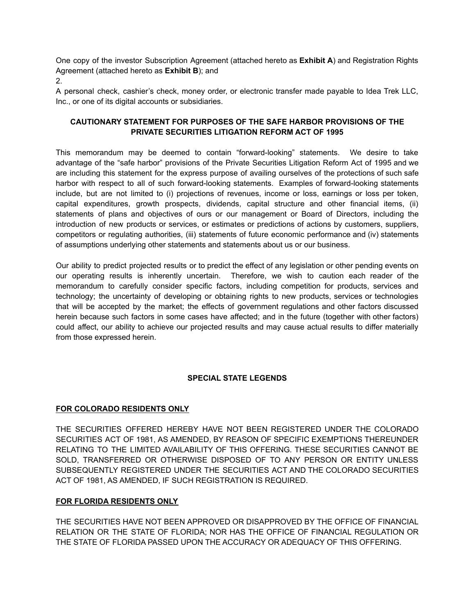One copy of the investor Subscription Agreement (attached hereto as **Exhibit A**) and Registration Rights Agreement (attached hereto as **Exhibit B**); and

2.

A personal check, cashier's check, money order, or electronic transfer made payable to Idea Trek LLC, Inc., or one of its digital accounts or subsidiaries.

# **CAUTIONARY STATEMENT FOR PURPOSES OF THE SAFE HARBOR PROVISIONS OF THE PRIVATE SECURITIES LITIGATION REFORM ACT OF 1995**

This memorandum may be deemed to contain "forward-looking" statements. We desire to take advantage of the "safe harbor" provisions of the Private Securities Litigation Reform Act of 1995 and we are including this statement for the express purpose of availing ourselves of the protections of such safe harbor with respect to all of such forward-looking statements. Examples of forward-looking statements include, but are not limited to (i) projections of revenues, income or loss, earnings or loss per token, capital expenditures, growth prospects, dividends, capital structure and other financial items, (ii) statements of plans and objectives of ours or our management or Board of Directors, including the introduction of new products or services, or estimates or predictions of actions by customers, suppliers, competitors or regulating authorities, (iii) statements of future economic performance and (iv) statements of assumptions underlying other statements and statements about us or our business.

Our ability to predict projected results or to predict the effect of any legislation or other pending events on our operating results is inherently uncertain. Therefore, we wish to caution each reader of the memorandum to carefully consider specific factors, including competition for products, services and technology; the uncertainty of developing or obtaining rights to new products, services or technologies that will be accepted by the market; the effects of government regulations and other factors discussed herein because such factors in some cases have affected; and in the future (together with other factors) could affect, our ability to achieve our projected results and may cause actual results to differ materially from those expressed herein.

# **SPECIAL STATE LEGENDS**

# **FOR COLORADO RESIDENTS ONLY**

THE SECURITIES OFFERED HEREBY HAVE NOT BEEN REGISTERED UNDER THE COLORADO SECURITIES ACT OF 1981, AS AMENDED, BY REASON OF SPECIFIC EXEMPTIONS THEREUNDER RELATING TO THE LIMITED AVAILABILITY OF THIS OFFERING. THESE SECURITIES CANNOT BE SOLD, TRANSFERRED OR OTHERWISE DISPOSED OF TO ANY PERSON OR ENTITY UNLESS SUBSEQUENTLY REGISTERED UNDER THE SECURITIES ACT AND THE COLORADO SECURITIES ACT OF 1981, AS AMENDED, IF SUCH REGISTRATION IS REQUIRED.

# **FOR FLORIDA RESIDENTS ONLY**

THE SECURITIES HAVE NOT BEEN APPROVED OR DISAPPROVED BY THE OFFICE OF FINANCIAL RELATION OR THE STATE OF FLORIDA; NOR HAS THE OFFICE OF FINANCIAL REGULATION OR THE STATE OF FLORIDA PASSED UPON THE ACCURACY OR ADEQUACY OF THIS OFFERING.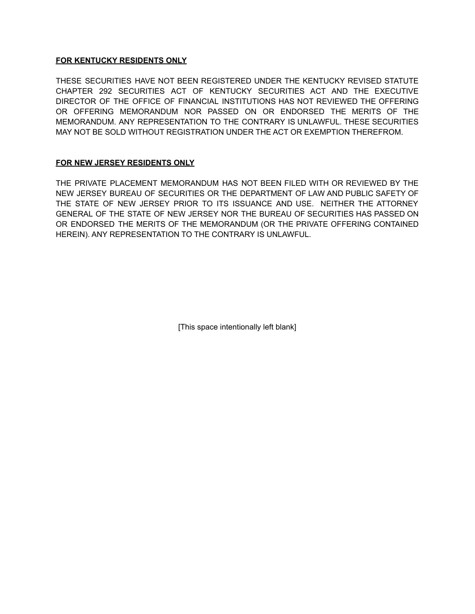### **FOR KENTUCKY RESIDENTS ONLY**

THESE SECURITIES HAVE NOT BEEN REGISTERED UNDER THE KENTUCKY REVISED STATUTE CHAPTER 292 SECURITIES ACT OF KENTUCKY SECURITIES ACT AND THE EXECUTIVE DIRECTOR OF THE OFFICE OF FINANCIAL INSTITUTIONS HAS NOT REVIEWED THE OFFERING OR OFFERING MEMORANDUM NOR PASSED ON OR ENDORSED THE MERITS OF THE MEMORANDUM. ANY REPRESENTATION TO THE CONTRARY IS UNLAWFUL. THESE SECURITIES MAY NOT BE SOLD WITHOUT REGISTRATION UNDER THE ACT OR EXEMPTION THEREFROM.

# **FOR NEW JERSEY RESIDENTS ONLY**

THE PRIVATE PLACEMENT MEMORANDUM HAS NOT BEEN FILED WITH OR REVIEWED BY THE NEW JERSEY BUREAU OF SECURITIES OR THE DEPARTMENT OF LAW AND PUBLIC SAFETY OF THE STATE OF NEW JERSEY PRIOR TO ITS ISSUANCE AND USE. NEITHER THE ATTORNEY GENERAL OF THE STATE OF NEW JERSEY NOR THE BUREAU OF SECURITIES HAS PASSED ON OR ENDORSED THE MERITS OF THE MEMORANDUM (OR THE PRIVATE OFFERING CONTAINED HEREIN). ANY REPRESENTATION TO THE CONTRARY IS UNLAWFUL.

[This space intentionally left blank]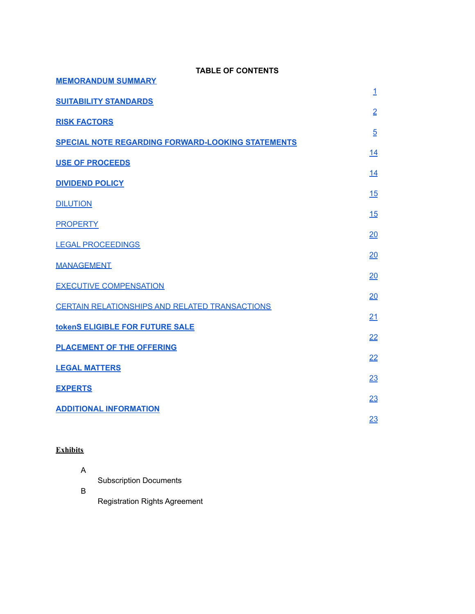| <b>MEMORANDUM SUMMARY</b>                                |
|----------------------------------------------------------|
| <b>SUITABILITY STANDARDS</b>                             |
| <b>RISK FACTORS</b>                                      |
| <b>SPECIAL NOTE REGARDING FORWARD-LOOKING STATEMENTS</b> |
| <b>USE OF PROCEEDS</b>                                   |
| <b>DIVIDEND POLICY</b>                                   |
| <b>DILUTION</b>                                          |
| <b>PROPERTY</b>                                          |
| <b>LEGAL PROCEEDINGS</b>                                 |
| <b>MANAGEMENT</b>                                        |
| <b>EXECUTIVE COMPENSATION</b>                            |
| CERTAIN RELATIONSHIPS AND RELATED TRANSACTIONS           |
| tokenS ELIGIBLE FOR FUTURE SALE                          |

**TABLE OF CONTENTS**

[1](https://www.sec.gov/Archives/edgar/data/1456857/000135028410000016/exhibit101ppmfinal.htm#_Toc194044730)

[2](https://www.sec.gov/Archives/edgar/data/1456857/000135028410000016/exhibit101ppmfinal.htm#_Toc194044731)

[5](https://www.sec.gov/Archives/edgar/data/1456857/000135028410000016/exhibit101ppmfinal.htm#_Toc194044732)

[14](https://www.sec.gov/Archives/edgar/data/1456857/000135028410000016/exhibit101ppmfinal.htm#_Toc194044733)

[14](https://www.sec.gov/Archives/edgar/data/1456857/000135028410000016/exhibit101ppmfinal.htm#_Toc194044734)

[15](https://www.sec.gov/Archives/edgar/data/1456857/000135028410000016/exhibit101ppmfinal.htm#_Toc194044735)

[15](https://www.sec.gov/Archives/edgar/data/1456857/000135028410000016/exhibit101ppmfinal.htm#_Toc194044736)

[20](https://www.sec.gov/Archives/edgar/data/1456857/000135028410000016/exhibit101ppmfinal.htm#_Toc194044737)

[20](https://www.sec.gov/Archives/edgar/data/1456857/000135028410000016/exhibit101ppmfinal.htm#_Toc194044738)

[20](https://www.sec.gov/Archives/edgar/data/1456857/000135028410000016/exhibit101ppmfinal.htm#_Toc194044739)

[20](https://www.sec.gov/Archives/edgar/data/1456857/000135028410000016/exhibit101ppmfinal.htm#_Toc194044740)

[21](https://www.sec.gov/Archives/edgar/data/1456857/000135028410000016/exhibit101ppmfinal.htm#_Toc194044741)

[22](https://www.sec.gov/Archives/edgar/data/1456857/000135028410000016/exhibit101ppmfinal.htm#_Toc194044742)

[22](https://www.sec.gov/Archives/edgar/data/1456857/000135028410000016/exhibit101ppmfinal.htm#_Toc194044743)

[23](https://www.sec.gov/Archives/edgar/data/1456857/000135028410000016/exhibit101ppmfinal.htm#_Toc194044744)

[23](https://www.sec.gov/Archives/edgar/data/1456857/000135028410000016/exhibit101ppmfinal.htm#_Toc194044745)

[23](https://www.sec.gov/Archives/edgar/data/1456857/000135028410000016/exhibit101ppmfinal.htm#_Toc194044746)

**[PLACEMENT](https://www.sec.gov/Archives/edgar/data/1456857/000135028410000016/exhibit101ppmfinal.htm#_Toc194044743) OF THE OFFERING**

| <b>LEGAL MATTERS</b> |
|----------------------|
|                      |

# **[EXPERTS](https://www.sec.gov/Archives/edgar/data/1456857/000135028410000016/exhibit101ppmfinal.htm#_Toc194044745)**

**ADDITIONAL [INFORMATION](https://www.sec.gov/Archives/edgar/data/1456857/000135028410000016/exhibit101ppmfinal.htm#_Toc194044746)**

# **Exhibits**

Subscription Documents

B

Registration Rights Agreement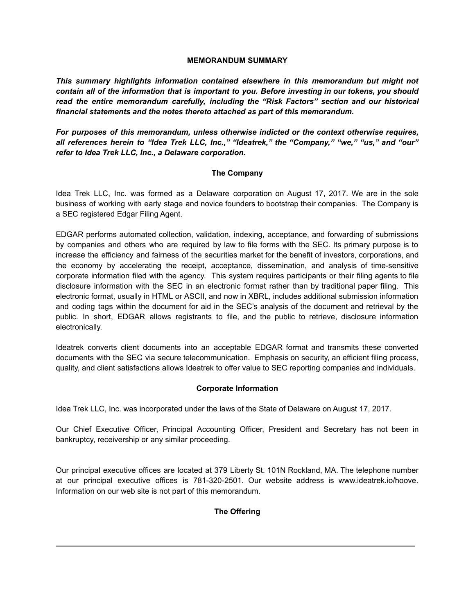#### **MEMORANDUM SUMMARY**

*This summary highlights information contained elsewhere in this memorandum but might not contain all of the information that is important to you. Before investing in our tokens, you should read the entire memorandum carefully, including the "Risk Factors" section and our historical financial statements and the notes thereto attached as part of this memorandum.*

*For purposes of this memorandum, unless otherwise indicted or the context otherwise requires, all references herein to "Idea Trek LLC, Inc.," "Ideatrek," the "Company," "we," "us," and "our" refer to Idea Trek LLC, Inc., a Delaware corporation.*

# **The Company**

Idea Trek LLC, Inc. was formed as a Delaware corporation on August 17, 2017. We are in the sole business of working with early stage and novice founders to bootstrap their companies. The Company is a SEC registered Edgar Filing Agent.

EDGAR performs automated collection, validation, indexing, acceptance, and forwarding of submissions by companies and others who are required by law to file forms with the SEC. Its primary purpose is to increase the efficiency and fairness of the securities market for the benefit of investors, corporations, and the economy by accelerating the receipt, acceptance, dissemination, and analysis of time-sensitive corporate information filed with the agency. This system requires participants or their filing agents to file disclosure information with the SEC in an electronic format rather than by traditional paper filing. This electronic format, usually in HTML or ASCII, and now in XBRL, includes additional submission information and coding tags within the document for aid in the SEC's analysis of the document and retrieval by the public. In short, EDGAR allows registrants to file, and the public to retrieve, disclosure information electronically.

Ideatrek converts client documents into an acceptable EDGAR format and transmits these converted documents with the SEC via secure telecommunication. Emphasis on security, an efficient filing process, quality, and client satisfactions allows Ideatrek to offer value to SEC reporting companies and individuals.

# **Corporate Information**

Idea Trek LLC, Inc. was incorporated under the laws of the State of Delaware on August 17, 2017.

Our Chief Executive Officer, Principal Accounting Officer, President and Secretary has not been in bankruptcy, receivership or any similar proceeding.

Our principal executive offices are located at 379 Liberty St. 101N Rockland, MA. The telephone number at our principal executive offices is 781-320-2501. Our website address is www.ideatrek.io/hoove. Information on our web site is not part of this memorandum.

# **The Offering**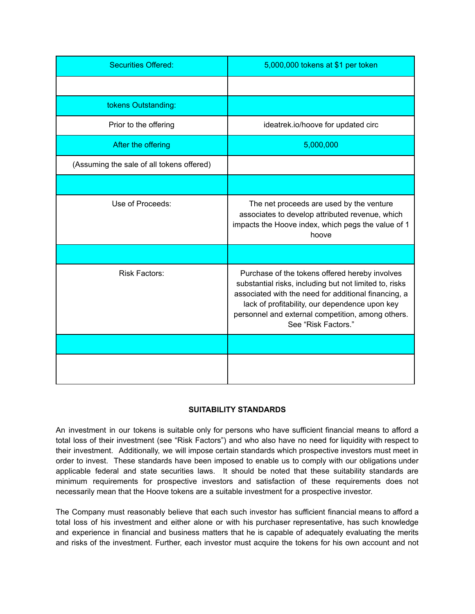| <b>Securities Offered:</b>                | 5,000,000 tokens at \$1 per token                                                                                                                                                                                                                                                              |
|-------------------------------------------|------------------------------------------------------------------------------------------------------------------------------------------------------------------------------------------------------------------------------------------------------------------------------------------------|
|                                           |                                                                                                                                                                                                                                                                                                |
| tokens Outstanding:                       |                                                                                                                                                                                                                                                                                                |
| Prior to the offering                     | ideatrek.io/hoove for updated circ                                                                                                                                                                                                                                                             |
| After the offering                        | 5,000,000                                                                                                                                                                                                                                                                                      |
| (Assuming the sale of all tokens offered) |                                                                                                                                                                                                                                                                                                |
|                                           |                                                                                                                                                                                                                                                                                                |
| Use of Proceeds:                          | The net proceeds are used by the venture<br>associates to develop attributed revenue, which<br>impacts the Hoove index, which pegs the value of 1<br>hoove                                                                                                                                     |
|                                           |                                                                                                                                                                                                                                                                                                |
| <b>Risk Factors:</b>                      | Purchase of the tokens offered hereby involves<br>substantial risks, including but not limited to, risks<br>associated with the need for additional financing, a<br>lack of profitability, our dependence upon key<br>personnel and external competition, among others.<br>See "Risk Factors." |
|                                           |                                                                                                                                                                                                                                                                                                |
|                                           |                                                                                                                                                                                                                                                                                                |

# **SUITABILITY STANDARDS**

An investment in our tokens is suitable only for persons who have sufficient financial means to afford a total loss of their investment (see "Risk Factors") and who also have no need for liquidity with respect to their investment. Additionally, we will impose certain standards which prospective investors must meet in order to invest. These standards have been imposed to enable us to comply with our obligations under applicable federal and state securities laws. It should be noted that these suitability standards are minimum requirements for prospective investors and satisfaction of these requirements does not necessarily mean that the Hoove tokens are a suitable investment for a prospective investor.

The Company must reasonably believe that each such investor has sufficient financial means to afford a total loss of his investment and either alone or with his purchaser representative, has such knowledge and experience in financial and business matters that he is capable of adequately evaluating the merits and risks of the investment. Further, each investor must acquire the tokens for his own account and not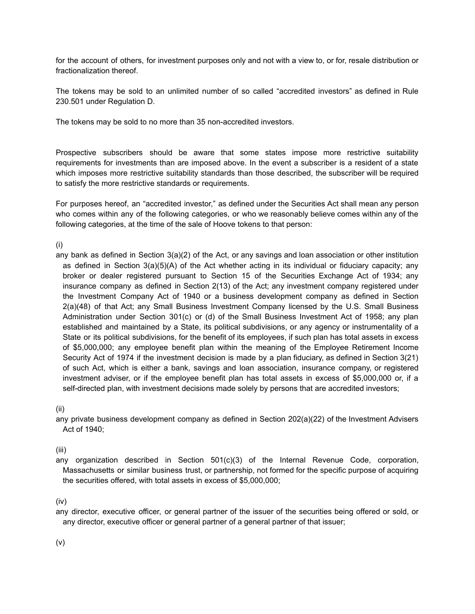for the account of others, for investment purposes only and not with a view to, or for, resale distribution or fractionalization thereof.

The tokens may be sold to an unlimited number of so called "accredited investors" as defined in Rule 230.501 under Regulation D.

The tokens may be sold to no more than 35 non-accredited investors.

Prospective subscribers should be aware that some states impose more restrictive suitability requirements for investments than are imposed above. In the event a subscriber is a resident of a state which imposes more restrictive suitability standards than those described, the subscriber will be required to satisfy the more restrictive standards or requirements.

For purposes hereof, an "accredited investor," as defined under the Securities Act shall mean any person who comes within any of the following categories, or who we reasonably believe comes within any of the following categories, at the time of the sale of Hoove tokens to that person:

(i)

any bank as defined in Section 3(a)(2) of the Act, or any savings and loan association or other institution as defined in Section 3(a)(5)(A) of the Act whether acting in its individual or fiduciary capacity; any broker or dealer registered pursuant to Section 15 of the Securities Exchange Act of 1934; any insurance company as defined in Section 2(13) of the Act; any investment company registered under the Investment Company Act of 1940 or a business development company as defined in Section 2(a)(48) of that Act; any Small Business Investment Company licensed by the U.S. Small Business Administration under Section 301(c) or (d) of the Small Business Investment Act of 1958; any plan established and maintained by a State, its political subdivisions, or any agency or instrumentality of a State or its political subdivisions, for the benefit of its employees, if such plan has total assets in excess of \$5,000,000; any employee benefit plan within the meaning of the Employee Retirement Income Security Act of 1974 if the investment decision is made by a plan fiduciary, as defined in Section 3(21) of such Act, which is either a bank, savings and loan association, insurance company, or registered investment adviser, or if the employee benefit plan has total assets in excess of \$5,000,000 or, if a self-directed plan, with investment decisions made solely by persons that are accredited investors;

(ii)

any private business development company as defined in Section 202(a)(22) of the Investment Advisers Act of 1940;

(iii)

any organization described in Section 501(c)(3) of the Internal Revenue Code, corporation, Massachusetts or similar business trust, or partnership, not formed for the specific purpose of acquiring the securities offered, with total assets in excess of \$5,000,000;

(iv)

any director, executive officer, or general partner of the issuer of the securities being offered or sold, or any director, executive officer or general partner of a general partner of that issuer;

(v)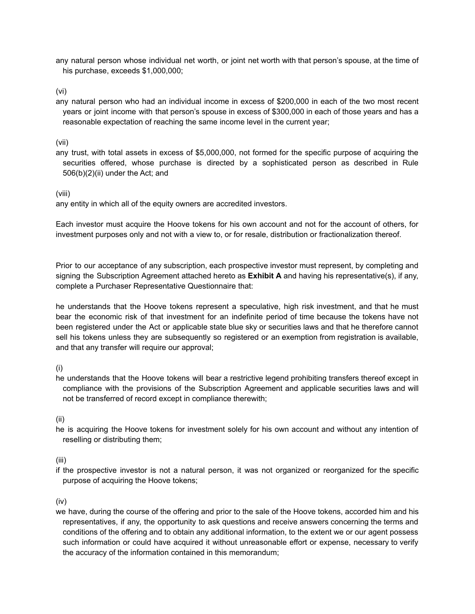any natural person whose individual net worth, or joint net worth with that person's spouse, at the time of his purchase, exceeds \$1,000,000;

(vi)

any natural person who had an individual income in excess of \$200,000 in each of the two most recent years or joint income with that person's spouse in excess of \$300,000 in each of those years and has a reasonable expectation of reaching the same income level in the current year;

(vii)

any trust, with total assets in excess of \$5,000,000, not formed for the specific purpose of acquiring the securities offered, whose purchase is directed by a sophisticated person as described in Rule 506(b)(2)(ii) under the Act; and

(viii)

any entity in which all of the equity owners are accredited investors.

Each investor must acquire the Hoove tokens for his own account and not for the account of others, for investment purposes only and not with a view to, or for resale, distribution or fractionalization thereof.

Prior to our acceptance of any subscription, each prospective investor must represent, by completing and signing the Subscription Agreement attached hereto as **Exhibit A** and having his representative(s), if any, complete a Purchaser Representative Questionnaire that:

he understands that the Hoove tokens represent a speculative, high risk investment, and that he must bear the economic risk of that investment for an indefinite period of time because the tokens have not been registered under the Act or applicable state blue sky or securities laws and that he therefore cannot sell his tokens unless they are subsequently so registered or an exemption from registration is available, and that any transfer will require our approval;

(i)

he understands that the Hoove tokens will bear a restrictive legend prohibiting transfers thereof except in compliance with the provisions of the Subscription Agreement and applicable securities laws and will not be transferred of record except in compliance therewith;

(ii)

he is acquiring the Hoove tokens for investment solely for his own account and without any intention of reselling or distributing them;

(iii)

if the prospective investor is not a natural person, it was not organized or reorganized for the specific purpose of acquiring the Hoove tokens;

(iv)

we have, during the course of the offering and prior to the sale of the Hoove tokens, accorded him and his representatives, if any, the opportunity to ask questions and receive answers concerning the terms and conditions of the offering and to obtain any additional information, to the extent we or our agent possess such information or could have acquired it without unreasonable effort or expense, necessary to verify the accuracy of the information contained in this memorandum;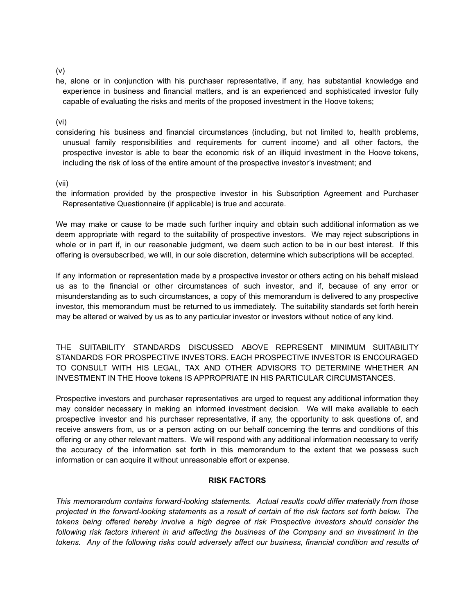(v)

he, alone or in conjunction with his purchaser representative, if any, has substantial knowledge and experience in business and financial matters, and is an experienced and sophisticated investor fully capable of evaluating the risks and merits of the proposed investment in the Hoove tokens;

(vi)

considering his business and financial circumstances (including, but not limited to, health problems, unusual family responsibilities and requirements for current income) and all other factors, the prospective investor is able to bear the economic risk of an illiquid investment in the Hoove tokens, including the risk of loss of the entire amount of the prospective investor's investment; and

(vii)

the information provided by the prospective investor in his Subscription Agreement and Purchaser Representative Questionnaire (if applicable) is true and accurate.

We may make or cause to be made such further inquiry and obtain such additional information as we deem appropriate with regard to the suitability of prospective investors. We may reject subscriptions in whole or in part if, in our reasonable judgment, we deem such action to be in our best interest. If this offering is oversubscribed, we will, in our sole discretion, determine which subscriptions will be accepted.

If any information or representation made by a prospective investor or others acting on his behalf mislead us as to the financial or other circumstances of such investor, and if, because of any error or misunderstanding as to such circumstances, a copy of this memorandum is delivered to any prospective investor, this memorandum must be returned to us immediately. The suitability standards set forth herein may be altered or waived by us as to any particular investor or investors without notice of any kind.

THE SUITABILITY STANDARDS DISCUSSED ABOVE REPRESENT MINIMUM SUITABILITY STANDARDS FOR PROSPECTIVE INVESTORS. EACH PROSPECTIVE INVESTOR IS ENCOURAGED TO CONSULT WITH HIS LEGAL, TAX AND OTHER ADVISORS TO DETERMINE WHETHER AN INVESTMENT IN THE Hoove tokens IS APPROPRIATE IN HIS PARTICULAR CIRCUMSTANCES.

Prospective investors and purchaser representatives are urged to request any additional information they may consider necessary in making an informed investment decision. We will make available to each prospective investor and his purchaser representative, if any, the opportunity to ask questions of, and receive answers from, us or a person acting on our behalf concerning the terms and conditions of this offering or any other relevant matters. We will respond with any additional information necessary to verify the accuracy of the information set forth in this memorandum to the extent that we possess such information or can acquire it without unreasonable effort or expense.

#### **RISK FACTORS**

*This memorandum contains forward-looking statements. Actual results could differ materially from those* projected in the forward-looking statements as a result of certain of the risk factors set forth below. The *tokens being offered hereby involve a high degree of risk Prospective investors should consider the following risk factors inherent in and affecting the business of the Company and an investment in the tokens. Any of the following risks could adversely affect our business, financial condition and results of*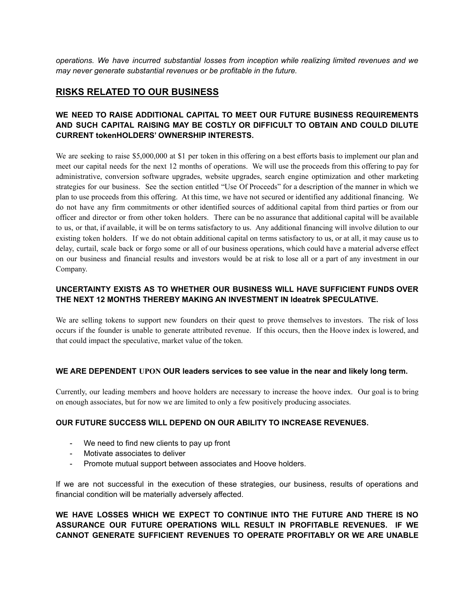*operations. We have incurred substantial losses from inception while realizing limited revenues and we may never generate substantial revenues or be profitable in the future.*

# **RISKS RELATED TO OUR BUSINESS**

# **WE NEED TO RAISE ADDITIONAL CAPITAL TO MEET OUR FUTURE BUSINESS REQUIREMENTS AND SUCH CAPITAL RAISING MAY BE COSTLY OR DIFFICULT TO OBTAIN AND COULD DILUTE CURRENT tokenHOLDERS' OWNERSHIP INTERESTS.**

We are seeking to raise \$5,000,000 at \$1 per token in this offering on a best efforts basis to implement our plan and meet our capital needs for the next 12 months of operations. We will use the proceeds from this offering to pay for administrative, conversion software upgrades, website upgrades, search engine optimization and other marketing strategies for our business. See the section entitled "Use Of Proceeds" for a description of the manner in which we plan to use proceeds from this offering. At this time, we have not secured or identified any additional financing. We do not have any firm commitments or other identified sources of additional capital from third parties or from our officer and director or from other token holders. There can be no assurance that additional capital will be available to us, or that, if available, it will be on terms satisfactory to us. Any additional financing will involve dilution to our existing token holders. If we do not obtain additional capital on terms satisfactory to us, or at all, it may cause us to delay, curtail, scale back or forgo some or all of our business operations, which could have a material adverse effect on our business and financial results and investors would be at risk to lose all or a part of any investment in our Company.

### **UNCERTAINTY EXISTS AS TO WHETHER OUR BUSINESS WILL HAVE SUFFICIENT FUNDS OVER THE NEXT 12 MONTHS THEREBY MAKING AN INVESTMENT IN Ideatrek SPECULATIVE.**

We are selling tokens to support new founders on their quest to prove themselves to investors. The risk of loss occurs if the founder is unable to generate attributed revenue. If this occurs, then the Hoove index is lowered, and that could impact the speculative, market value of the token.

#### **WE ARE DEPENDENT UPON OUR leaders services to see value in the near and likely long term.**

Currently, our leading members and hoove holders are necessary to increase the hoove index. Our goal is to bring on enough associates, but for now we are limited to only a few positively producing associates.

#### **OUR FUTURE SUCCESS WILL DEPEND ON OUR ABILITY TO INCREASE REVENUES.**

- We need to find new clients to pay up front
- Motivate associates to deliver
- Promote mutual support between associates and Hoove holders.

If we are not successful in the execution of these strategies, our business, results of operations and financial condition will be materially adversely affected.

**WE HAVE LOSSES WHICH WE EXPECT TO CONTINUE INTO THE FUTURE AND THERE IS NO ASSURANCE OUR FUTURE OPERATIONS WILL RESULT IN PROFITABLE REVENUES. IF WE CANNOT GENERATE SUFFICIENT REVENUES TO OPERATE PROFITABLY OR WE ARE UNABLE**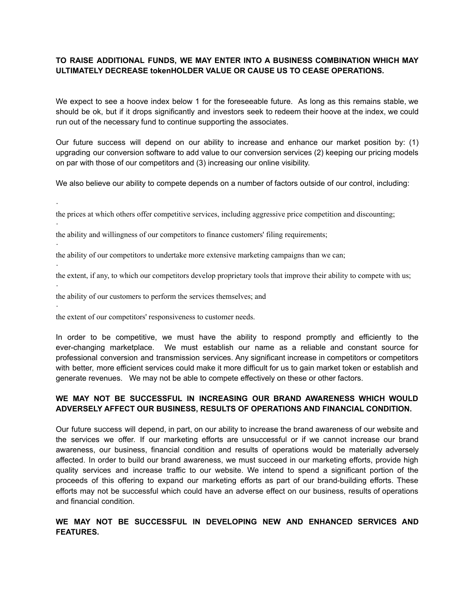#### **TO RAISE ADDITIONAL FUNDS, WE MAY ENTER INTO A BUSINESS COMBINATION WHICH MAY ULTIMATELY DECREASE tokenHOLDER VALUE OR CAUSE US TO CEASE OPERATIONS.**

We expect to see a hoove index below 1 for the foreseeable future. As long as this remains stable, we should be ok, but if it drops significantly and investors seek to redeem their hoove at the index, we could run out of the necessary fund to continue supporting the associates.

Our future success will depend on our ability to increase and enhance our market position by: (1) upgrading our conversion software to add value to our conversion services (2) keeping our pricing models on par with those of our competitors and (3) increasing our online visibility.

We also believe our ability to compete depends on a number of factors outside of our control, including:

the prices at which others offer competitive services, including aggressive price competition and discounting;

the ability and willingness of our competitors to finance customers' filing requirements;

the ability of our competitors to undertake more extensive marketing campaigns than we can;

the extent, if any, to which our competitors develop proprietary tools that improve their ability to compete with us;

the ability of our customers to perform the services themselves; and

the extent of our competitors' responsiveness to customer needs.

·

·

·

·

·

·

In order to be competitive, we must have the ability to respond promptly and efficiently to the ever-changing marketplace. We must establish our name as a reliable and constant source for professional conversion and transmission services. Any significant increase in competitors or competitors with better, more efficient services could make it more difficult for us to gain market token or establish and generate revenues. We may not be able to compete effectively on these or other factors.

# **WE MAY NOT BE SUCCESSFUL IN INCREASING OUR BRAND AWARENESS WHICH WOULD ADVERSELY AFFECT OUR BUSINESS, RESULTS OF OPERATIONS AND FINANCIAL CONDITION.**

Our future success will depend, in part, on our ability to increase the brand awareness of our website and the services we offer. If our marketing efforts are unsuccessful or if we cannot increase our brand awareness, our business, financial condition and results of operations would be materially adversely affected. In order to build our brand awareness, we must succeed in our marketing efforts, provide high quality services and increase traffic to our website. We intend to spend a significant portion of the proceeds of this offering to expand our marketing efforts as part of our brand-building efforts. These efforts may not be successful which could have an adverse effect on our business, results of operations and financial condition.

# **WE MAY NOT BE SUCCESSFUL IN DEVELOPING NEW AND ENHANCED SERVICES AND FEATURES.**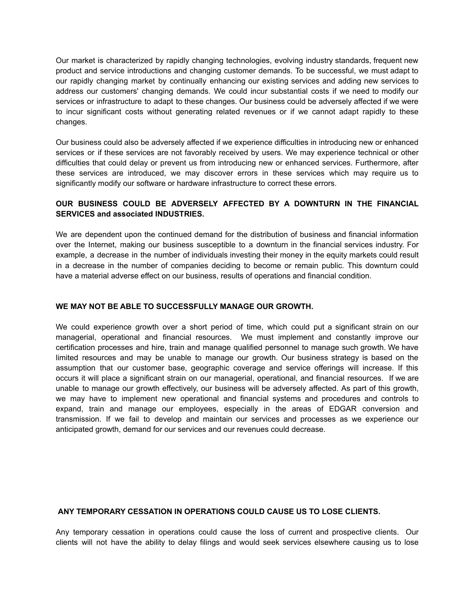Our market is characterized by rapidly changing technologies, evolving industry standards, frequent new product and service introductions and changing customer demands. To be successful, we must adapt to our rapidly changing market by continually enhancing our existing services and adding new services to address our customers' changing demands. We could incur substantial costs if we need to modify our services or infrastructure to adapt to these changes. Our business could be adversely affected if we were to incur significant costs without generating related revenues or if we cannot adapt rapidly to these changes.

Our business could also be adversely affected if we experience difficulties in introducing new or enhanced services or if these services are not favorably received by users. We may experience technical or other difficulties that could delay or prevent us from introducing new or enhanced services. Furthermore, after these services are introduced, we may discover errors in these services which may require us to significantly modify our software or hardware infrastructure to correct these errors.

# **OUR BUSINESS COULD BE ADVERSELY AFFECTED BY A DOWNTURN IN THE FINANCIAL SERVICES and associated INDUSTRIES.**

We are dependent upon the continued demand for the distribution of business and financial information over the Internet, making our business susceptible to a downturn in the financial services industry. For example, a decrease in the number of individuals investing their money in the equity markets could result in a decrease in the number of companies deciding to become or remain public. This downturn could have a material adverse effect on our business, results of operations and financial condition.

#### **WE MAY NOT BE ABLE TO SUCCESSFULLY MANAGE OUR GROWTH.**

We could experience growth over a short period of time, which could put a significant strain on our managerial, operational and financial resources. We must implement and constantly improve our certification processes and hire, train and manage qualified personnel to manage such growth. We have limited resources and may be unable to manage our growth. Our business strategy is based on the assumption that our customer base, geographic coverage and service offerings will increase. If this occurs it will place a significant strain on our managerial, operational, and financial resources. If we are unable to manage our growth effectively, our business will be adversely affected. As part of this growth, we may have to implement new operational and financial systems and procedures and controls to expand, train and manage our employees, especially in the areas of EDGAR conversion and transmission. If we fail to develop and maintain our services and processes as we experience our anticipated growth, demand for our services and our revenues could decrease.

#### **ANY TEMPORARY CESSATION IN OPERATIONS COULD CAUSE US TO LOSE CLIENTS.**

Any temporary cessation in operations could cause the loss of current and prospective clients. Our clients will not have the ability to delay filings and would seek services elsewhere causing us to lose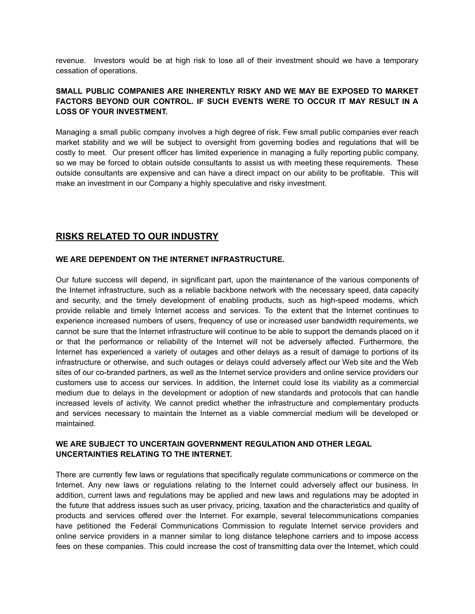revenue. Investors would be at high risk to lose all of their investment should we have a temporary cessation of operations.

# **SMALL PUBLIC COMPANIES ARE INHERENTLY RISKY AND WE MAY BE EXPOSED TO MARKET FACTORS BEYOND OUR CONTROL. IF SUCH EVENTS WERE TO OCCUR IT MAY RESULT IN A LOSS OF YOUR INVESTMENT.**

Managing a small public company involves a high degree of risk. Few small public companies ever reach market stability and we will be subject to oversight from governing bodies and regulations that will be costly to meet. Our present officer has limited experience in managing a fully reporting public company, so we may be forced to obtain outside consultants to assist us with meeting these requirements. These outside consultants are expensive and can have a direct impact on our ability to be profitable. This will make an investment in our Company a highly speculative and risky investment.

# **RISKS RELATED TO OUR INDUSTRY**

#### **WE ARE DEPENDENT ON THE INTERNET INFRASTRUCTURE.**

Our future success will depend, in significant part, upon the maintenance of the various components of the Internet infrastructure, such as a reliable backbone network with the necessary speed, data capacity and security, and the timely development of enabling products, such as high-speed modems, which provide reliable and timely Internet access and services. To the extent that the Internet continues to experience increased numbers of users, frequency of use or increased user bandwidth requirements, we cannot be sure that the Internet infrastructure will continue to be able to support the demands placed on it or that the performance or reliability of the Internet will not be adversely affected. Furthermore, the Internet has experienced a variety of outages and other delays as a result of damage to portions of its infrastructure or otherwise, and such outages or delays could adversely affect our Web site and the Web sites of our co-branded partners, as well as the Internet service providers and online service providers our customers use to access our services. In addition, the Internet could lose its viability as a commercial medium due to delays in the development or adoption of new standards and protocols that can handle increased levels of activity. We cannot predict whether the infrastructure and complementary products and services necessary to maintain the Internet as a viable commercial medium will be developed or maintained.

# **WE ARE SUBJECT TO UNCERTAIN GOVERNMENT REGULATION AND OTHER LEGAL UNCERTAINTIES RELATING TO THE INTERNET.**

There are currently few laws or regulations that specifically regulate communications or commerce on the Internet. Any new laws or regulations relating to the Internet could adversely affect our business. In addition, current laws and regulations may be applied and new laws and regulations may be adopted in the future that address issues such as user privacy, pricing, taxation and the characteristics and quality of products and services offered over the Internet. For example, several telecommunications companies have petitioned the Federal Communications Commission to regulate Internet service providers and online service providers in a manner similar to long distance telephone carriers and to impose access fees on these companies. This could increase the cost of transmitting data over the Internet, which could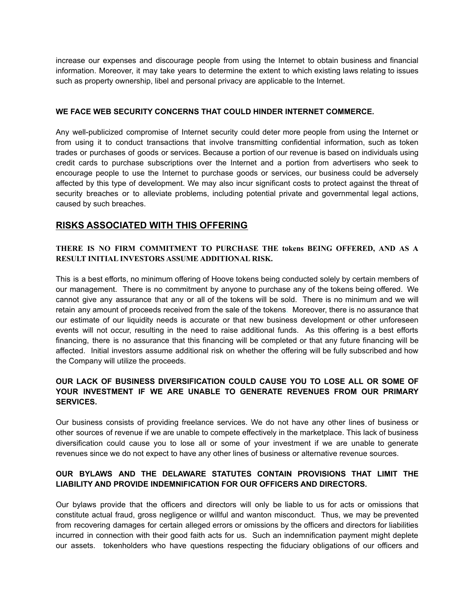increase our expenses and discourage people from using the Internet to obtain business and financial information. Moreover, it may take years to determine the extent to which existing laws relating to issues such as property ownership, libel and personal privacy are applicable to the Internet.

#### **WE FACE WEB SECURITY CONCERNS THAT COULD HINDER INTERNET COMMERCE.**

Any well-publicized compromise of Internet security could deter more people from using the Internet or from using it to conduct transactions that involve transmitting confidential information, such as token trades or purchases of goods or services. Because a portion of our revenue is based on individuals using credit cards to purchase subscriptions over the Internet and a portion from advertisers who seek to encourage people to use the Internet to purchase goods or services, our business could be adversely affected by this type of development. We may also incur significant costs to protect against the threat of security breaches or to alleviate problems, including potential private and governmental legal actions, caused by such breaches.

# **RISKS ASSOCIATED WITH THIS OFFERING**

#### **THERE IS NO FIRM COMMITMENT TO PURCHASE THE tokens BEING OFFERED, AND AS A RESULT INITIAL INVESTORS ASSUME ADDITIONAL RISK.**

This is a best efforts, no minimum offering of Hoove tokens being conducted solely by certain members of our management. There is no commitment by anyone to purchase any of the tokens being offered. We cannot give any assurance that any or all of the tokens will be sold. There is no minimum and we will retain any amount of proceeds received from the sale of the tokens. Moreover, there is no assurance that our estimate of our liquidity needs is accurate or that new business development or other unforeseen events will not occur, resulting in the need to raise additional funds. As this offering is a best efforts financing, there is no assurance that this financing will be completed or that any future financing will be affected. Initial investors assume additional risk on whether the offering will be fully subscribed and how the Company will utilize the proceeds.

# **OUR LACK OF BUSINESS DIVERSIFICATION COULD CAUSE YOU TO LOSE ALL OR SOME OF YOUR INVESTMENT IF WE ARE UNABLE TO GENERATE REVENUES FROM OUR PRIMARY SERVICES.**

Our business consists of providing freelance services. We do not have any other lines of business or other sources of revenue if we are unable to compete effectively in the marketplace. This lack of business diversification could cause you to lose all or some of your investment if we are unable to generate revenues since we do not expect to have any other lines of business or alternative revenue sources.

### **OUR BYLAWS AND THE DELAWARE STATUTES CONTAIN PROVISIONS THAT LIMIT THE LIABILITY AND PROVIDE INDEMNIFICATION FOR OUR OFFICERS AND DIRECTORS.**

Our bylaws provide that the officers and directors will only be liable to us for acts or omissions that constitute actual fraud, gross negligence or willful and wanton misconduct. Thus, we may be prevented from recovering damages for certain alleged errors or omissions by the officers and directors for liabilities incurred in connection with their good faith acts for us. Such an indemnification payment might deplete our assets. tokenholders who have questions respecting the fiduciary obligations of our officers and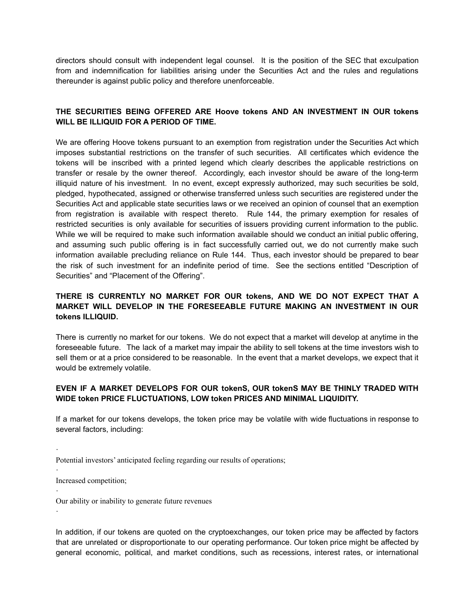directors should consult with independent legal counsel. It is the position of the SEC that exculpation from and indemnification for liabilities arising under the Securities Act and the rules and regulations thereunder is against public policy and therefore unenforceable.

#### **THE SECURITIES BEING OFFERED ARE Hoove tokens AND AN INVESTMENT IN OUR tokens WILL BE ILLIQUID FOR A PERIOD OF TIME.**

We are offering Hoove tokens pursuant to an exemption from registration under the Securities Act which imposes substantial restrictions on the transfer of such securities. All certificates which evidence the tokens will be inscribed with a printed legend which clearly describes the applicable restrictions on transfer or resale by the owner thereof. Accordingly, each investor should be aware of the long-term illiquid nature of his investment. In no event, except expressly authorized, may such securities be sold, pledged, hypothecated, assigned or otherwise transferred unless such securities are registered under the Securities Act and applicable state securities laws or we received an opinion of counsel that an exemption from registration is available with respect thereto. Rule 144, the primary exemption for resales of restricted securities is only available for securities of issuers providing current information to the public. While we will be required to make such information available should we conduct an initial public offering, and assuming such public offering is in fact successfully carried out, we do not currently make such information available precluding reliance on Rule 144. Thus, each investor should be prepared to bear the risk of such investment for an indefinite period of time. See the sections entitled "Description of Securities" and "Placement of the Offering".

# **THERE IS CURRENTLY NO MARKET FOR OUR tokens, AND WE DO NOT EXPECT THAT A MARKET WILL DEVELOP IN THE FORESEEABLE FUTURE MAKING AN INVESTMENT IN OUR tokens ILLIQUID.**

There is currently no market for our tokens. We do not expect that a market will develop at anytime in the foreseeable future. The lack of a market may impair the ability to sell tokens at the time investors wish to sell them or at a price considered to be reasonable. In the event that a market develops, we expect that it would be extremely volatile.

# **EVEN IF A MARKET DEVELOPS FOR OUR tokenS, OUR tokenS MAY BE THINLY TRADED WITH WIDE token PRICE FLUCTUATIONS, LOW token PRICES AND MINIMAL LIQUIDITY.**

If a market for our tokens develops, the token price may be volatile with wide fluctuations in response to several factors, including:

Increased competition;

·

·

·

·

Our ability or inability to generate future revenues

In addition, if our tokens are quoted on the cryptoexchanges, our token price may be affected by factors that are unrelated or disproportionate to our operating performance. Our token price might be affected by general economic, political, and market conditions, such as recessions, interest rates, or international

Potential investors' anticipated feeling regarding our results of operations;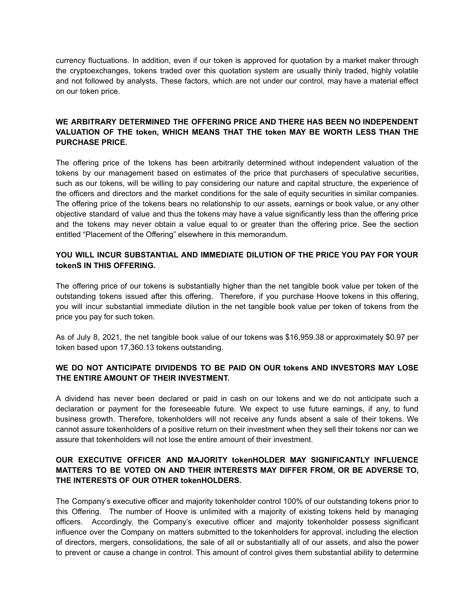currency fluctuations. In addition, even if our token is approved for quotation by a market maker through the cryptoexchanges, tokens traded over this quotation system are usually thinly traded, highly volatile and not followed by analysts. These factors, which are not under our control, may have a material effect on our token price.

# **WE ARBITRARY DETERMINED THE OFFERING PRICE AND THERE HAS BEEN NO INDEPENDENT VALUATION OF THE token, WHICH MEANS THAT THE token MAY BE WORTH LESS THAN THE PURCHASE PRICE.**

The offering price of the tokens has been arbitrarily determined without independent valuation of the tokens by our management based on estimates of the price that purchasers of speculative securities, such as our tokens, will be willing to pay considering our nature and capital structure, the experience of the officers and directors and the market conditions for the sale of equity securities in similar companies. The offering price of the tokens bears no relationship to our assets, earnings or book value, or any other objective standard of value and thus the tokens may have a value significantly less than the offering price and the tokens may never obtain a value equal to or greater than the offering price. See the section entitled "Placement of the Offering" elsewhere in this memorandum.

### **YOU WILL INCUR SUBSTANTIAL AND IMMEDIATE DILUTION OF THE PRICE YOU PAY FOR YOUR tokenS IN THIS OFFERING.**

The offering price of our tokens is substantially higher than the net tangible book value per token of the outstanding tokens issued after this offering. Therefore, if you purchase Hoove tokens in this offering, you will incur substantial immediate dilution in the net tangible book value per token of tokens from the price you pay for such token.

As of July 8, 2021, the net tangible book value of our tokens was \$16,959.38 or approximately \$0.97 per token based upon 17,360.13 tokens outstanding.

### **WE DO NOT ANTICIPATE DIVIDENDS TO BE PAID ON OUR tokens AND INVESTORS MAY LOSE THE ENTIRE AMOUNT OF THEIR INVESTMENT.**

A dividend has never been declared or paid in cash on our tokens and we do not anticipate such a declaration or payment for the foreseeable future. We expect to use future earnings, if any, to fund business growth. Therefore, tokenholders will not receive any funds absent a sale of their tokens. We cannot assure tokenholders of a positive return on their investment when they sell their tokens nor can we assure that tokenholders will not lose the entire amount of their investment.

# **OUR EXECUTIVE OFFICER AND MAJORITY tokenHOLDER MAY SIGNIFICANTLY INFLUENCE MATTERS TO BE VOTED ON AND THEIR INTERESTS MAY DIFFER FROM, OR BE ADVERSE TO, THE INTERESTS OF OUR OTHER tokenHOLDERS.**

The Company's executive officer and majority tokenholder control 100% of our outstanding tokens prior to this Offering. The number of Hoove is unlimited with a majority of existing tokens held by managing officers. Accordingly, the Company's executive officer and majority tokenholder possess significant influence over the Company on matters submitted to the tokenholders for approval, including the election of directors, mergers, consolidations, the sale of all or substantially all of our assets, and also the power to prevent or cause a change in control. This amount of control gives them substantial ability to determine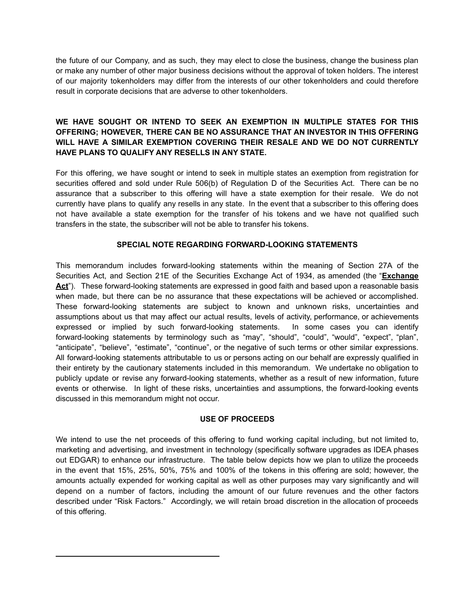the future of our Company, and as such, they may elect to close the business, change the business plan or make any number of other major business decisions without the approval of token holders. The interest of our majority tokenholders may differ from the interests of our other tokenholders and could therefore result in corporate decisions that are adverse to other tokenholders.

# **WE HAVE SOUGHT OR INTEND TO SEEK AN EXEMPTION IN MULTIPLE STATES FOR THIS OFFERING; HOWEVER, THERE CAN BE NO ASSURANCE THAT AN INVESTOR IN THIS OFFERING WILL HAVE A SIMILAR EXEMPTION COVERING THEIR RESALE AND WE DO NOT CURRENTLY HAVE PLANS TO QUALIFY ANY RESELLS IN ANY STATE.**

For this offering, we have sought or intend to seek in multiple states an exemption from registration for securities offered and sold under Rule 506(b) of Regulation D of the Securities Act. There can be no assurance that a subscriber to this offering will have a state exemption for their resale. We do not currently have plans to qualify any resells in any state. In the event that a subscriber to this offering does not have available a state exemption for the transfer of his tokens and we have not qualified such transfers in the state, the subscriber will not be able to transfer his tokens.

# **SPECIAL NOTE REGARDING FORWARD-LOOKING STATEMENTS**

This memorandum includes forward-looking statements within the meaning of Section 27A of the Securities Act, and Section 21E of the Securities Exchange Act of 1934, as amended (the "**Exchange** Act<sup>"</sup>). These forward-looking statements are expressed in good faith and based upon a reasonable basis when made, but there can be no assurance that these expectations will be achieved or accomplished. These forward-looking statements are subject to known and unknown risks, uncertainties and assumptions about us that may affect our actual results, levels of activity, performance, or achievements expressed or implied by such forward-looking statements. In some cases you can identify forward-looking statements by terminology such as "may", "should", "could", "would", "expect", "plan", "anticipate", "believe", "estimate", "continue", or the negative of such terms or other similar expressions. All forward-looking statements attributable to us or persons acting on our behalf are expressly qualified in their entirety by the cautionary statements included in this memorandum. We undertake no obligation to publicly update or revise any forward-looking statements, whether as a result of new information, future events or otherwise. In light of these risks, uncertainties and assumptions, the forward-looking events discussed in this memorandum might not occur.

#### **USE OF PROCEEDS**

We intend to use the net proceeds of this offering to fund working capital including, but not limited to, marketing and advertising, and investment in technology (specifically software upgrades as IDEA phases out EDGAR) to enhance our infrastructure. The table below depicts how we plan to utilize the proceeds in the event that 15%, 25%, 50%, 75% and 100% of the tokens in this offering are sold; however, the amounts actually expended for working capital as well as other purposes may vary significantly and will depend on a number of factors, including the amount of our future revenues and the other factors described under "Risk Factors." Accordingly, we will retain broad discretion in the allocation of proceeds of this offering.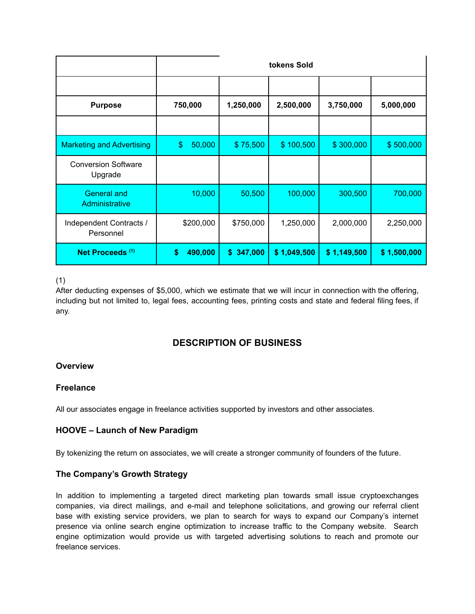|                                       |               |               | tokens Sold |             |             |
|---------------------------------------|---------------|---------------|-------------|-------------|-------------|
|                                       |               |               |             |             |             |
| <b>Purpose</b>                        | 750,000       | 1,250,000     | 2,500,000   | 3,750,000   | 5,000,000   |
|                                       |               |               |             |             |             |
| <b>Marketing and Advertising</b>      | \$<br>50,000  | \$75,500      | \$100,500   | \$300,000   | \$500,000   |
| <b>Conversion Software</b><br>Upgrade |               |               |             |             |             |
| <b>General and</b><br>Administrative  | 10,000        | 50,500        | 100,000     | 300,500     | 700,000     |
| Independent Contracts /<br>Personnel  | \$200,000     | \$750,000     | 1,250,000   | 2,000,000   | 2,250,000   |
| Net Proceeds <sup>(1)</sup>           | \$<br>490,000 | 347,000<br>\$ | \$1,049,500 | \$1,149,500 | \$1,500,000 |

# (1)

After deducting expenses of \$5,000, which we estimate that we will incur in connection with the offering, including but not limited to, legal fees, accounting fees, printing costs and state and federal filing fees, if any.

# **DESCRIPTION OF BUSINESS**

# **Overview**

# **Freelance**

All our associates engage in freelance activities supported by investors and other associates.

# **HOOVE – Launch of New Paradigm**

By tokenizing the return on associates, we will create a stronger community of founders of the future.

#### **The Company's Growth Strategy**

In addition to implementing a targeted direct marketing plan towards small issue cryptoexchanges companies, via direct mailings, and e-mail and telephone solicitations, and growing our referral client base with existing service providers, we plan to search for ways to expand our Company's internet presence via online search engine optimization to increase traffic to the Company website. Search engine optimization would provide us with targeted advertising solutions to reach and promote our freelance services.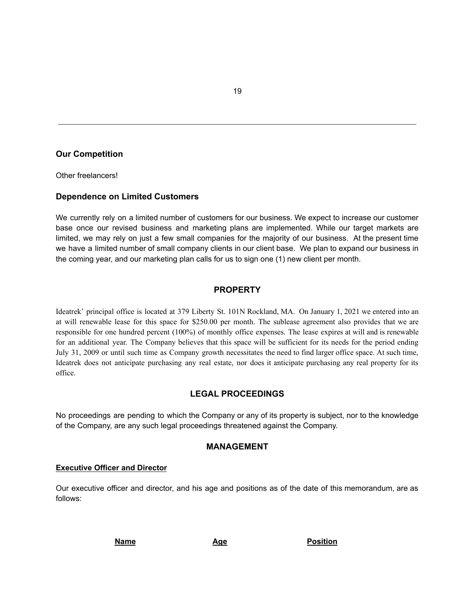### **Our Competition**

Other freelancers!

#### **Dependence on Limited Customers**

We currently rely on a limited number of customers for our business. We expect to increase our customer base once our revised business and marketing plans are implemented. While our target markets are limited, we may rely on just a few small companies for the majority of our business. At the present time we have a limited number of small company clients in our client base. We plan to expand our business in the coming year, and our marketing plan calls for us to sign one (1) new client per month.

# **PROPERTY**

Ideatrek' principal office is located at 379 Liberty St. 101N Rockland, MA. On January 1, 2021 we entered into an at will renewable lease for this space for \$250.00 per month. The sublease agreement also provides that we are responsible for one hundred percent (100%) of monthly office expenses. The lease expires at will and is renewable for an additional year. The Company believes that this space will be sufficient for its needs for the period ending July 31, 2009 or until such time as Company growth necessitates the need to find larger office space. At such time, Ideatrek does not anticipate purchasing any real estate, nor does it anticipate purchasing any real property for its office.

#### **LEGAL PROCEEDINGS**

No proceedings are pending to which the Company or any of its property is subject, nor to the knowledge of the Company, are any such legal proceedings threatened against the Company.

#### **MANAGEMENT**

#### **Executive Officer and Director**

Our executive officer and director, and his age and positions as of the date of this memorandum, are as follows:

**Name Age Position**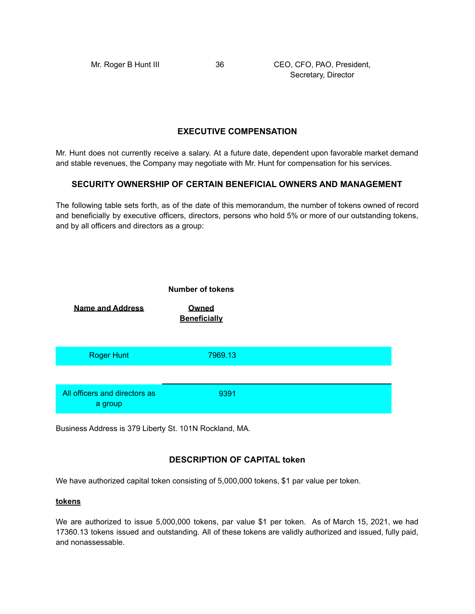Secretary, Director

# **EXECUTIVE COMPENSATION**

Mr. Hunt does not currently receive a salary. At a future date, dependent upon favorable market demand and stable revenues, the Company may negotiate with Mr. Hunt for compensation for his services.

#### **SECURITY OWNERSHIP OF CERTAIN BENEFICIAL OWNERS AND MANAGEMENT**

The following table sets forth, as of the date of this memorandum, the number of tokens owned of record and beneficially by executive officers, directors, persons who hold 5% or more of our outstanding tokens, and by all officers and directors as a group:



Business Address is 379 Liberty St. 101N Rockland, MA.

# **DESCRIPTION OF CAPITAL token**

We have authorized capital token consisting of 5,000,000 tokens, \$1 par value per token.

#### **tokens**

We are authorized to issue 5,000,000 tokens, par value \$1 per token. As of March 15, 2021, we had 17360.13 tokens issued and outstanding. All of these tokens are validly authorized and issued, fully paid, and nonassessable.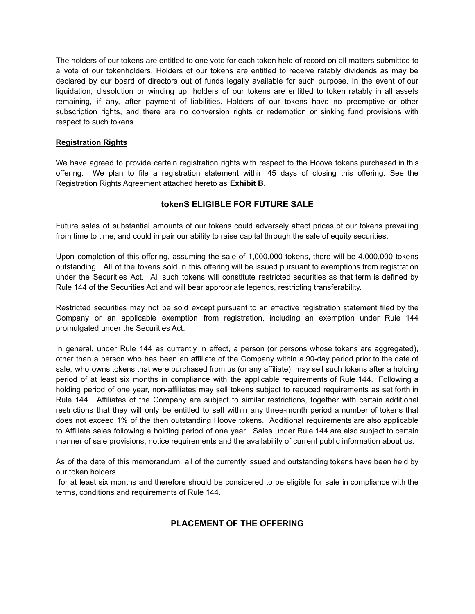The holders of our tokens are entitled to one vote for each token held of record on all matters submitted to a vote of our tokenholders. Holders of our tokens are entitled to receive ratably dividends as may be declared by our board of directors out of funds legally available for such purpose. In the event of our liquidation, dissolution or winding up, holders of our tokens are entitled to token ratably in all assets remaining, if any, after payment of liabilities. Holders of our tokens have no preemptive or other subscription rights, and there are no conversion rights or redemption or sinking fund provisions with respect to such tokens.

#### **Registration Rights**

We have agreed to provide certain registration rights with respect to the Hoove tokens purchased in this offering. We plan to file a registration statement within 45 days of closing this offering. See the Registration Rights Agreement attached hereto as **Exhibit B**.

# **tokenS ELIGIBLE FOR FUTURE SALE**

Future sales of substantial amounts of our tokens could adversely affect prices of our tokens prevailing from time to time, and could impair our ability to raise capital through the sale of equity securities.

Upon completion of this offering, assuming the sale of 1,000,000 tokens, there will be 4,000,000 tokens outstanding. All of the tokens sold in this offering will be issued pursuant to exemptions from registration under the Securities Act. All such tokens will constitute restricted securities as that term is defined by Rule 144 of the Securities Act and will bear appropriate legends, restricting transferability.

Restricted securities may not be sold except pursuant to an effective registration statement filed by the Company or an applicable exemption from registration, including an exemption under Rule 144 promulgated under the Securities Act.

In general, under Rule 144 as currently in effect, a person (or persons whose tokens are aggregated), other than a person who has been an affiliate of the Company within a 90-day period prior to the date of sale, who owns tokens that were purchased from us (or any affiliate), may sell such tokens after a holding period of at least six months in compliance with the applicable requirements of Rule 144. Following a holding period of one year, non-affiliates may sell tokens subject to reduced requirements as set forth in Rule 144. Affiliates of the Company are subject to similar restrictions, together with certain additional restrictions that they will only be entitled to sell within any three-month period a number of tokens that does not exceed 1% of the then outstanding Hoove tokens. Additional requirements are also applicable to Affiliate sales following a holding period of one year. Sales under Rule 144 are also subject to certain manner of sale provisions, notice requirements and the availability of current public information about us.

As of the date of this memorandum, all of the currently issued and outstanding tokens have been held by our token holders

for at least six months and therefore should be considered to be eligible for sale in compliance with the terms, conditions and requirements of Rule 144.

# **PLACEMENT OF THE OFFERING**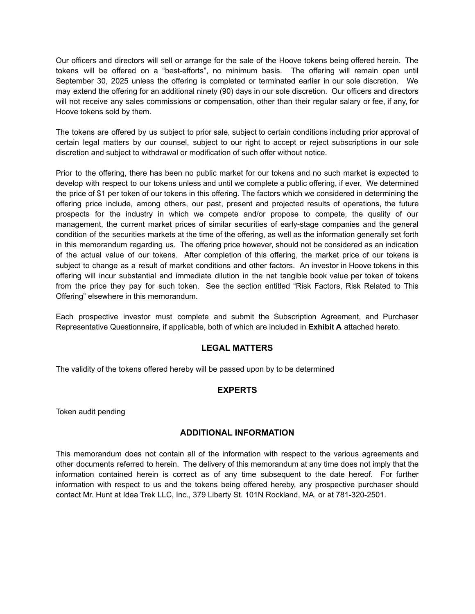Our officers and directors will sell or arrange for the sale of the Hoove tokens being offered herein. The tokens will be offered on a "best-efforts", no minimum basis. The offering will remain open until September 30, 2025 unless the offering is completed or terminated earlier in our sole discretion. We may extend the offering for an additional ninety (90) days in our sole discretion. Our officers and directors will not receive any sales commissions or compensation, other than their regular salary or fee, if any, for Hoove tokens sold by them.

The tokens are offered by us subject to prior sale, subject to certain conditions including prior approval of certain legal matters by our counsel, subject to our right to accept or reject subscriptions in our sole discretion and subject to withdrawal or modification of such offer without notice.

Prior to the offering, there has been no public market for our tokens and no such market is expected to develop with respect to our tokens unless and until we complete a public offering, if ever. We determined the price of \$1 per token of our tokens in this offering. The factors which we considered in determining the offering price include, among others, our past, present and projected results of operations, the future prospects for the industry in which we compete and/or propose to compete, the quality of our management, the current market prices of similar securities of early-stage companies and the general condition of the securities markets at the time of the offering, as well as the information generally set forth in this memorandum regarding us. The offering price however, should not be considered as an indication of the actual value of our tokens. After completion of this offering, the market price of our tokens is subject to change as a result of market conditions and other factors. An investor in Hoove tokens in this offering will incur substantial and immediate dilution in the net tangible book value per token of tokens from the price they pay for such token. See the section entitled "Risk Factors, Risk Related to This Offering" elsewhere in this memorandum.

Each prospective investor must complete and submit the Subscription Agreement, and Purchaser Representative Questionnaire, if applicable, both of which are included in **Exhibit A** attached hereto.

# **LEGAL MATTERS**

The validity of the tokens offered hereby will be passed upon by to be determined

# **EXPERTS**

Token audit pending

#### **ADDITIONAL INFORMATION**

This memorandum does not contain all of the information with respect to the various agreements and other documents referred to herein. The delivery of this memorandum at any time does not imply that the information contained herein is correct as of any time subsequent to the date hereof. For further information with respect to us and the tokens being offered hereby, any prospective purchaser should contact Mr. Hunt at Idea Trek LLC, Inc., 379 Liberty St. 101N Rockland, MA, or at 781-320-2501.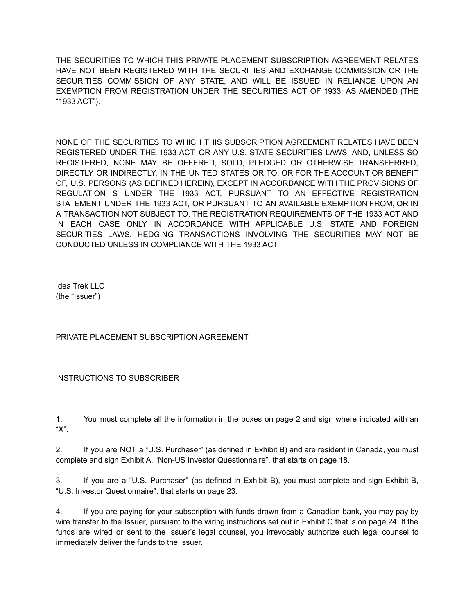THE SECURITIES TO WHICH THIS PRIVATE PLACEMENT SUBSCRIPTION AGREEMENT RELATES HAVE NOT BEEN REGISTERED WITH THE SECURITIES AND EXCHANGE COMMISSION OR THE SECURITIES COMMISSION OF ANY STATE, AND WILL BE ISSUED IN RELIANCE UPON AN EXEMPTION FROM REGISTRATION UNDER THE SECURITIES ACT OF 1933, AS AMENDED (THE "1933 ACT").

NONE OF THE SECURITIES TO WHICH THIS SUBSCRIPTION AGREEMENT RELATES HAVE BEEN REGISTERED UNDER THE 1933 ACT, OR ANY U.S. STATE SECURITIES LAWS, AND, UNLESS SO REGISTERED, NONE MAY BE OFFERED, SOLD, PLEDGED OR OTHERWISE TRANSFERRED, DIRECTLY OR INDIRECTLY, IN THE UNITED STATES OR TO, OR FOR THE ACCOUNT OR BENEFIT OF, U.S. PERSONS (AS DEFINED HEREIN), EXCEPT IN ACCORDANCE WITH THE PROVISIONS OF REGULATION S UNDER THE 1933 ACT, PURSUANT TO AN EFFECTIVE REGISTRATION STATEMENT UNDER THE 1933 ACT, OR PURSUANT TO AN AVAILABLE EXEMPTION FROM, OR IN A TRANSACTION NOT SUBJECT TO, THE REGISTRATION REQUIREMENTS OF THE 1933 ACT AND IN EACH CASE ONLY IN ACCORDANCE WITH APPLICABLE U.S. STATE AND FOREIGN SECURITIES LAWS. HEDGING TRANSACTIONS INVOLVING THE SECURITIES MAY NOT BE CONDUCTED UNLESS IN COMPLIANCE WITH THE 1933 ACT.

Idea Trek LLC (the "Issuer")

PRIVATE PLACEMENT SUBSCRIPTION AGREEMENT

#### INSTRUCTIONS TO SUBSCRIBER

1. You must complete all the information in the boxes on page 2 and sign where indicated with an "X".

2. If you are NOT a "U.S. Purchaser" (as defined in Exhibit B) and are resident in Canada, you must complete and sign Exhibit A, "Non-US Investor Questionnaire", that starts on page 18.

3. If you are a "U.S. Purchaser" (as defined in Exhibit B), you must complete and sign Exhibit B, "U.S. Investor Questionnaire", that starts on page 23.

4. If you are paying for your subscription with funds drawn from a Canadian bank, you may pay by wire transfer to the Issuer, pursuant to the wiring instructions set out in Exhibit C that is on page 24. If the funds are wired or sent to the Issuer's legal counsel, you irrevocably authorize such legal counsel to immediately deliver the funds to the Issuer.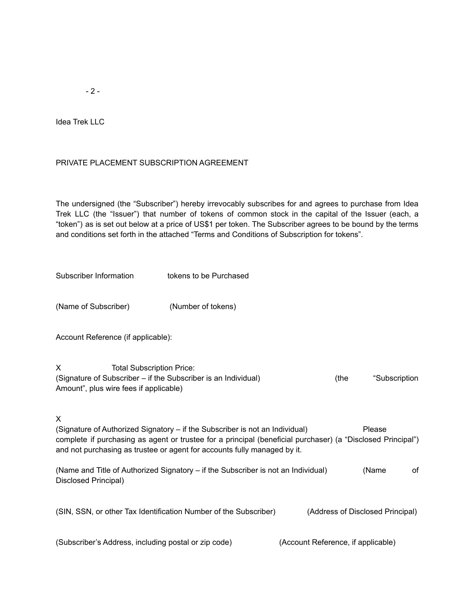$- 2 -$ 

Idea Trek LLC

#### PRIVATE PLACEMENT SUBSCRIPTION AGREEMENT

The undersigned (the "Subscriber") hereby irrevocably subscribes for and agrees to purchase from Idea Trek LLC (the "Issuer") that number of tokens of common stock in the capital of the Issuer (each, a "token") as is set out below at a price of US\$1 per token. The Subscriber agrees to be bound by the terms and conditions set forth in the attached "Terms and Conditions of Subscription for tokens".

| Subscriber Information                                                                                                                                                                                                                                                       | tokens to be Purchased |                                    |      |                                  |
|------------------------------------------------------------------------------------------------------------------------------------------------------------------------------------------------------------------------------------------------------------------------------|------------------------|------------------------------------|------|----------------------------------|
| (Name of Subscriber)                                                                                                                                                                                                                                                         | (Number of tokens)     |                                    |      |                                  |
| Account Reference (if applicable):                                                                                                                                                                                                                                           |                        |                                    |      |                                  |
| X<br><b>Total Subscription Price:</b><br>(Signature of Subscriber - if the Subscriber is an Individual)<br>Amount", plus wire fees if applicable)                                                                                                                            |                        |                                    | (the | "Subscription                    |
| X<br>(Signature of Authorized Signatory - if the Subscriber is not an Individual)<br>complete if purchasing as agent or trustee for a principal (beneficial purchaser) (a "Disclosed Principal")<br>and not purchasing as trustee or agent for accounts fully managed by it. |                        |                                    |      | Please                           |
| (Name and Title of Authorized Signatory – if the Subscriber is not an Individual)<br>Disclosed Principal)                                                                                                                                                                    |                        |                                    |      | (Name<br>οf                      |
| (SIN, SSN, or other Tax Identification Number of the Subscriber)                                                                                                                                                                                                             |                        |                                    |      | (Address of Disclosed Principal) |
| (Subscriber's Address, including postal or zip code)                                                                                                                                                                                                                         |                        | (Account Reference, if applicable) |      |                                  |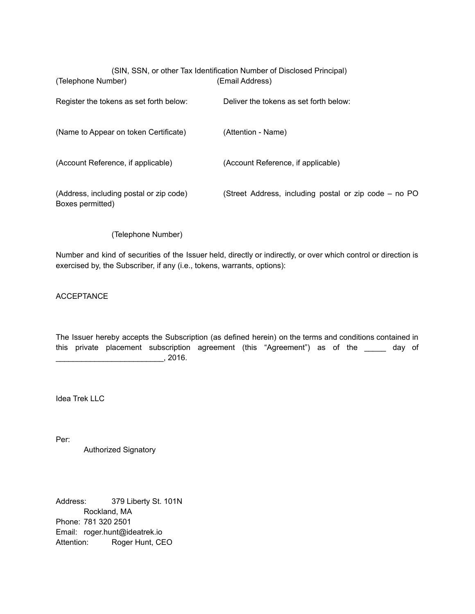| (Telephone Number)                                          | (SIN, SSN, or other Tax Identification Number of Disclosed Principal)<br>(Email Address) |
|-------------------------------------------------------------|------------------------------------------------------------------------------------------|
| Register the tokens as set forth below:                     | Deliver the tokens as set forth below:                                                   |
| (Name to Appear on token Certificate)                       | (Attention - Name)                                                                       |
| (Account Reference, if applicable)                          | (Account Reference, if applicable)                                                       |
| (Address, including postal or zip code)<br>Boxes permitted) | (Street Address, including postal or zip code – no PO                                    |

#### (Telephone Number)

Number and kind of securities of the Issuer held, directly or indirectly, or over which control or direction is exercised by, the Subscriber, if any (i.e., tokens, warrants, options):

ACCEPTANCE

The Issuer hereby accepts the Subscription (as defined herein) on the terms and conditions contained in this private placement subscription agreement (this "Agreement") as of the \_\_\_\_\_ day of \_\_\_\_\_\_\_\_\_\_\_\_\_\_\_\_\_\_\_\_\_\_\_\_\_, 2016.

Idea Trek LLC

Per:

Authorized Signatory

Address: 379 Liberty St. 101N Rockland, MA Phone: 781 320 2501 Email: roger.hunt@ideatrek.io Attention: Roger Hunt, CEO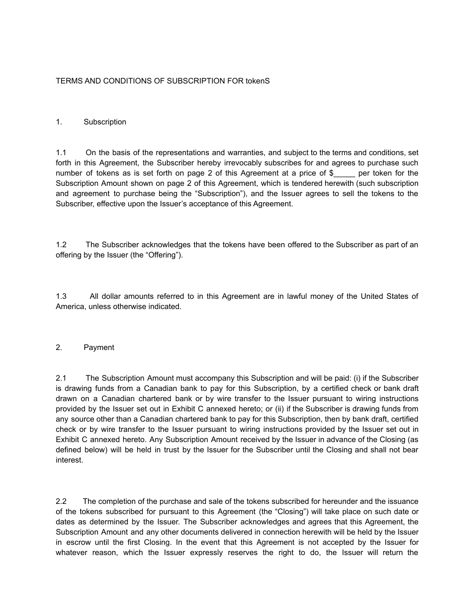# TERMS AND CONDITIONS OF SUBSCRIPTION FOR tokenS

#### 1. Subscription

1.1 On the basis of the representations and warranties, and subject to the terms and conditions, set forth in this Agreement, the Subscriber hereby irrevocably subscribes for and agrees to purchase such number of tokens as is set forth on page 2 of this Agreement at a price of \$ per token for the Subscription Amount shown on page 2 of this Agreement, which is tendered herewith (such subscription and agreement to purchase being the "Subscription"), and the Issuer agrees to sell the tokens to the Subscriber, effective upon the Issuer's acceptance of this Agreement.

1.2 The Subscriber acknowledges that the tokens have been offered to the Subscriber as part of an offering by the Issuer (the "Offering").

1.3 All dollar amounts referred to in this Agreement are in lawful money of the United States of America, unless otherwise indicated.

#### 2. Payment

2.1 The Subscription Amount must accompany this Subscription and will be paid: (i) if the Subscriber is drawing funds from a Canadian bank to pay for this Subscription, by a certified check or bank draft drawn on a Canadian chartered bank or by wire transfer to the Issuer pursuant to wiring instructions provided by the Issuer set out in Exhibit C annexed hereto; or (ii) if the Subscriber is drawing funds from any source other than a Canadian chartered bank to pay for this Subscription, then by bank draft, certified check or by wire transfer to the Issuer pursuant to wiring instructions provided by the Issuer set out in Exhibit C annexed hereto. Any Subscription Amount received by the Issuer in advance of the Closing (as defined below) will be held in trust by the Issuer for the Subscriber until the Closing and shall not bear interest.

2.2 The completion of the purchase and sale of the tokens subscribed for hereunder and the issuance of the tokens subscribed for pursuant to this Agreement (the "Closing") will take place on such date or dates as determined by the Issuer. The Subscriber acknowledges and agrees that this Agreement, the Subscription Amount and any other documents delivered in connection herewith will be held by the Issuer in escrow until the first Closing. In the event that this Agreement is not accepted by the Issuer for whatever reason, which the Issuer expressly reserves the right to do, the Issuer will return the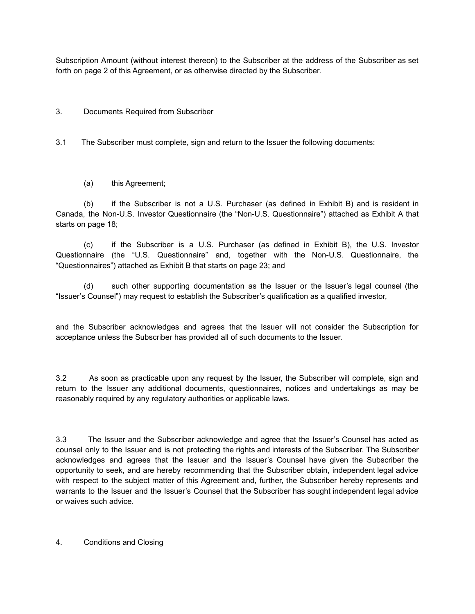Subscription Amount (without interest thereon) to the Subscriber at the address of the Subscriber as set forth on page 2 of this Agreement, or as otherwise directed by the Subscriber.

### 3. Documents Required from Subscriber

3.1 The Subscriber must complete, sign and return to the Issuer the following documents:

(a) this Agreement;

(b) if the Subscriber is not a U.S. Purchaser (as defined in Exhibit B) and is resident in Canada, the Non-U.S. Investor Questionnaire (the "Non-U.S. Questionnaire") attached as Exhibit A that starts on page 18;

(c) if the Subscriber is a U.S. Purchaser (as defined in Exhibit B), the U.S. Investor Questionnaire (the "U.S. Questionnaire" and, together with the Non-U.S. Questionnaire, the "Questionnaires") attached as Exhibit B that starts on page 23; and

(d) such other supporting documentation as the Issuer or the Issuer's legal counsel (the "Issuer's Counsel") may request to establish the Subscriber's qualification as a qualified investor,

and the Subscriber acknowledges and agrees that the Issuer will not consider the Subscription for acceptance unless the Subscriber has provided all of such documents to the Issuer.

3.2 As soon as practicable upon any request by the Issuer, the Subscriber will complete, sign and return to the Issuer any additional documents, questionnaires, notices and undertakings as may be reasonably required by any regulatory authorities or applicable laws.

3.3 The Issuer and the Subscriber acknowledge and agree that the Issuer's Counsel has acted as counsel only to the Issuer and is not protecting the rights and interests of the Subscriber. The Subscriber acknowledges and agrees that the Issuer and the Issuer's Counsel have given the Subscriber the opportunity to seek, and are hereby recommending that the Subscriber obtain, independent legal advice with respect to the subject matter of this Agreement and, further, the Subscriber hereby represents and warrants to the Issuer and the Issuer's Counsel that the Subscriber has sought independent legal advice or waives such advice.

4. Conditions and Closing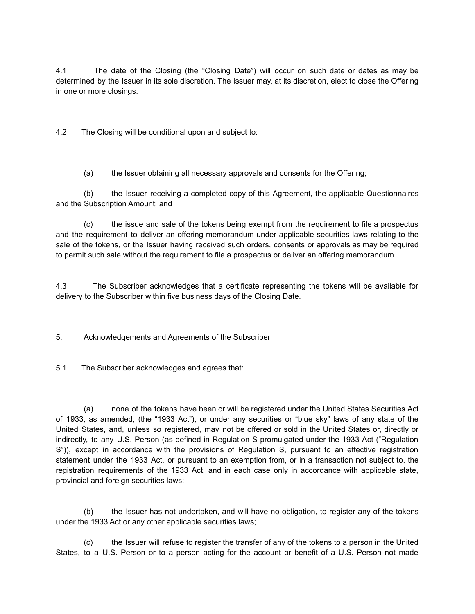4.1 The date of the Closing (the "Closing Date") will occur on such date or dates as may be determined by the Issuer in its sole discretion. The Issuer may, at its discretion, elect to close the Offering in one or more closings.

4.2 The Closing will be conditional upon and subject to:

(a) the Issuer obtaining all necessary approvals and consents for the Offering;

(b) the Issuer receiving a completed copy of this Agreement, the applicable Questionnaires and the Subscription Amount; and

(c) the issue and sale of the tokens being exempt from the requirement to file a prospectus and the requirement to deliver an offering memorandum under applicable securities laws relating to the sale of the tokens, or the Issuer having received such orders, consents or approvals as may be required to permit such sale without the requirement to file a prospectus or deliver an offering memorandum.

4.3 The Subscriber acknowledges that a certificate representing the tokens will be available for delivery to the Subscriber within five business days of the Closing Date.

5. Acknowledgements and Agreements of the Subscriber

5.1 The Subscriber acknowledges and agrees that:

(a) none of the tokens have been or will be registered under the United States Securities Act of 1933, as amended, (the "1933 Act"), or under any securities or "blue sky" laws of any state of the United States, and, unless so registered, may not be offered or sold in the United States or, directly or indirectly, to any U.S. Person (as defined in Regulation S promulgated under the 1933 Act ("Regulation S")), except in accordance with the provisions of Regulation S, pursuant to an effective registration statement under the 1933 Act, or pursuant to an exemption from, or in a transaction not subject to, the registration requirements of the 1933 Act, and in each case only in accordance with applicable state, provincial and foreign securities laws;

(b) the Issuer has not undertaken, and will have no obligation, to register any of the tokens under the 1933 Act or any other applicable securities laws;

(c) the Issuer will refuse to register the transfer of any of the tokens to a person in the United States, to a U.S. Person or to a person acting for the account or benefit of a U.S. Person not made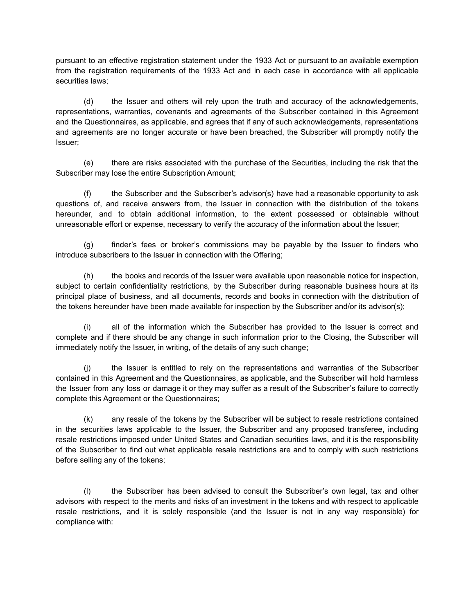pursuant to an effective registration statement under the 1933 Act or pursuant to an available exemption from the registration requirements of the 1933 Act and in each case in accordance with all applicable securities laws;

(d) the Issuer and others will rely upon the truth and accuracy of the acknowledgements, representations, warranties, covenants and agreements of the Subscriber contained in this Agreement and the Questionnaires, as applicable, and agrees that if any of such acknowledgements, representations and agreements are no longer accurate or have been breached, the Subscriber will promptly notify the Issuer;

(e) there are risks associated with the purchase of the Securities, including the risk that the Subscriber may lose the entire Subscription Amount;

(f) the Subscriber and the Subscriber's advisor(s) have had a reasonable opportunity to ask questions of, and receive answers from, the Issuer in connection with the distribution of the tokens hereunder, and to obtain additional information, to the extent possessed or obtainable without unreasonable effort or expense, necessary to verify the accuracy of the information about the Issuer;

(g) finder's fees or broker's commissions may be payable by the Issuer to finders who introduce subscribers to the Issuer in connection with the Offering;

the books and records of the Issuer were available upon reasonable notice for inspection, subject to certain confidentiality restrictions, by the Subscriber during reasonable business hours at its principal place of business, and all documents, records and books in connection with the distribution of the tokens hereunder have been made available for inspection by the Subscriber and/or its advisor(s);

(i) all of the information which the Subscriber has provided to the Issuer is correct and complete and if there should be any change in such information prior to the Closing, the Subscriber will immediately notify the Issuer, in writing, of the details of any such change;

(j) the Issuer is entitled to rely on the representations and warranties of the Subscriber contained in this Agreement and the Questionnaires, as applicable, and the Subscriber will hold harmless the Issuer from any loss or damage it or they may suffer as a result of the Subscriber's failure to correctly complete this Agreement or the Questionnaires;

(k) any resale of the tokens by the Subscriber will be subject to resale restrictions contained in the securities laws applicable to the Issuer, the Subscriber and any proposed transferee, including resale restrictions imposed under United States and Canadian securities laws, and it is the responsibility of the Subscriber to find out what applicable resale restrictions are and to comply with such restrictions before selling any of the tokens;

(l) the Subscriber has been advised to consult the Subscriber's own legal, tax and other advisors with respect to the merits and risks of an investment in the tokens and with respect to applicable resale restrictions, and it is solely responsible (and the Issuer is not in any way responsible) for compliance with: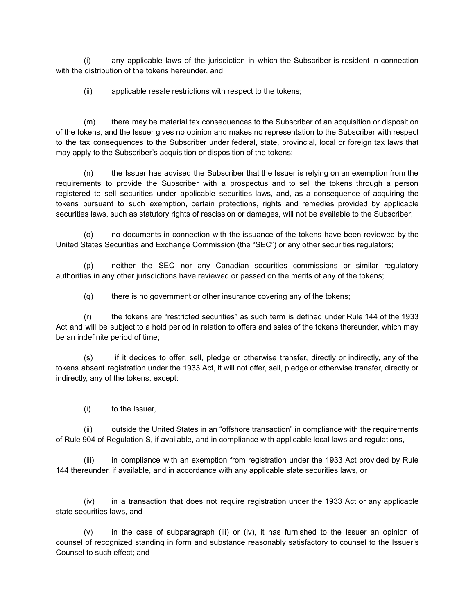(i) any applicable laws of the jurisdiction in which the Subscriber is resident in connection with the distribution of the tokens hereunder, and

(ii) applicable resale restrictions with respect to the tokens;

(m) there may be material tax consequences to the Subscriber of an acquisition or disposition of the tokens, and the Issuer gives no opinion and makes no representation to the Subscriber with respect to the tax consequences to the Subscriber under federal, state, provincial, local or foreign tax laws that may apply to the Subscriber's acquisition or disposition of the tokens;

(n) the Issuer has advised the Subscriber that the Issuer is relying on an exemption from the requirements to provide the Subscriber with a prospectus and to sell the tokens through a person registered to sell securities under applicable securities laws, and, as a consequence of acquiring the tokens pursuant to such exemption, certain protections, rights and remedies provided by applicable securities laws, such as statutory rights of rescission or damages, will not be available to the Subscriber;

(o) no documents in connection with the issuance of the tokens have been reviewed by the United States Securities and Exchange Commission (the "SEC") or any other securities regulators;

(p) neither the SEC nor any Canadian securities commissions or similar regulatory authorities in any other jurisdictions have reviewed or passed on the merits of any of the tokens;

(q) there is no government or other insurance covering any of the tokens;

(r) the tokens are "restricted securities" as such term is defined under Rule 144 of the 1933 Act and will be subject to a hold period in relation to offers and sales of the tokens thereunder, which may be an indefinite period of time;

(s) if it decides to offer, sell, pledge or otherwise transfer, directly or indirectly, any of the tokens absent registration under the 1933 Act, it will not offer, sell, pledge or otherwise transfer, directly or indirectly, any of the tokens, except:

(i) to the Issuer,

(ii) outside the United States in an "offshore transaction" in compliance with the requirements of Rule 904 of Regulation S, if available, and in compliance with applicable local laws and regulations,

(iii) in compliance with an exemption from registration under the 1933 Act provided by Rule 144 thereunder, if available, and in accordance with any applicable state securities laws, or

(iv) in a transaction that does not require registration under the 1933 Act or any applicable state securities laws, and

(v) in the case of subparagraph (iii) or (iv), it has furnished to the Issuer an opinion of counsel of recognized standing in form and substance reasonably satisfactory to counsel to the Issuer's Counsel to such effect; and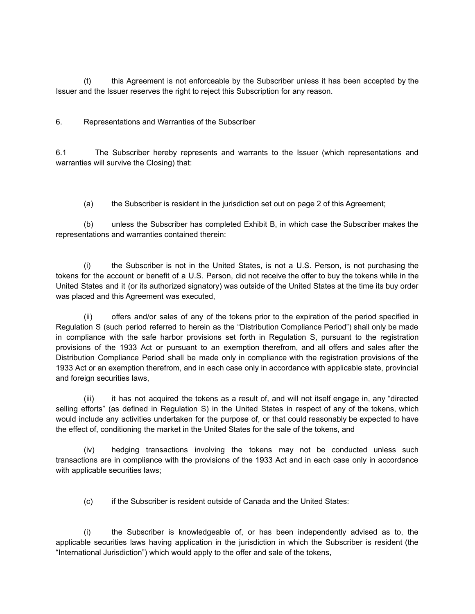(t) this Agreement is not enforceable by the Subscriber unless it has been accepted by the Issuer and the Issuer reserves the right to reject this Subscription for any reason.

6. Representations and Warranties of the Subscriber

6.1 The Subscriber hereby represents and warrants to the Issuer (which representations and warranties will survive the Closing) that:

(a) the Subscriber is resident in the jurisdiction set out on page 2 of this Agreement;

(b) unless the Subscriber has completed Exhibit B, in which case the Subscriber makes the representations and warranties contained therein:

(i) the Subscriber is not in the United States, is not a U.S. Person, is not purchasing the tokens for the account or benefit of a U.S. Person, did not receive the offer to buy the tokens while in the United States and it (or its authorized signatory) was outside of the United States at the time its buy order was placed and this Agreement was executed,

(ii) offers and/or sales of any of the tokens prior to the expiration of the period specified in Regulation S (such period referred to herein as the "Distribution Compliance Period") shall only be made in compliance with the safe harbor provisions set forth in Regulation S, pursuant to the registration provisions of the 1933 Act or pursuant to an exemption therefrom, and all offers and sales after the Distribution Compliance Period shall be made only in compliance with the registration provisions of the 1933 Act or an exemption therefrom, and in each case only in accordance with applicable state, provincial and foreign securities laws,

(iii) it has not acquired the tokens as a result of, and will not itself engage in, any "directed selling efforts" (as defined in Regulation S) in the United States in respect of any of the tokens, which would include any activities undertaken for the purpose of, or that could reasonably be expected to have the effect of, conditioning the market in the United States for the sale of the tokens, and

(iv) hedging transactions involving the tokens may not be conducted unless such transactions are in compliance with the provisions of the 1933 Act and in each case only in accordance with applicable securities laws;

(c) if the Subscriber is resident outside of Canada and the United States:

(i) the Subscriber is knowledgeable of, or has been independently advised as to, the applicable securities laws having application in the jurisdiction in which the Subscriber is resident (the "International Jurisdiction") which would apply to the offer and sale of the tokens,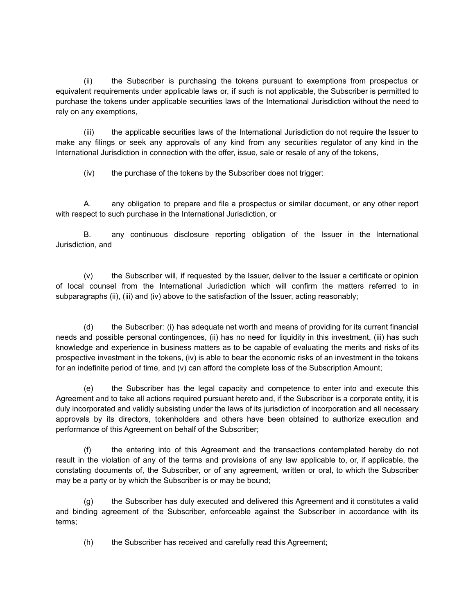(ii) the Subscriber is purchasing the tokens pursuant to exemptions from prospectus or equivalent requirements under applicable laws or, if such is not applicable, the Subscriber is permitted to purchase the tokens under applicable securities laws of the International Jurisdiction without the need to rely on any exemptions,

(iii) the applicable securities laws of the International Jurisdiction do not require the Issuer to make any filings or seek any approvals of any kind from any securities regulator of any kind in the International Jurisdiction in connection with the offer, issue, sale or resale of any of the tokens,

(iv) the purchase of the tokens by the Subscriber does not trigger:

A. any obligation to prepare and file a prospectus or similar document, or any other report with respect to such purchase in the International Jurisdiction, or

B. any continuous disclosure reporting obligation of the Issuer in the International Jurisdiction, and

(v) the Subscriber will, if requested by the Issuer, deliver to the Issuer a certificate or opinion of local counsel from the International Jurisdiction which will confirm the matters referred to in subparagraphs (ii), (iii) and (iv) above to the satisfaction of the Issuer, acting reasonably;

(d) the Subscriber: (i) has adequate net worth and means of providing for its current financial needs and possible personal contingences, (ii) has no need for liquidity in this investment, (iii) has such knowledge and experience in business matters as to be capable of evaluating the merits and risks of its prospective investment in the tokens, (iv) is able to bear the economic risks of an investment in the tokens for an indefinite period of time, and (v) can afford the complete loss of the Subscription Amount;

(e) the Subscriber has the legal capacity and competence to enter into and execute this Agreement and to take all actions required pursuant hereto and, if the Subscriber is a corporate entity, it is duly incorporated and validly subsisting under the laws of its jurisdiction of incorporation and all necessary approvals by its directors, tokenholders and others have been obtained to authorize execution and performance of this Agreement on behalf of the Subscriber;

(f) the entering into of this Agreement and the transactions contemplated hereby do not result in the violation of any of the terms and provisions of any law applicable to, or, if applicable, the constating documents of, the Subscriber, or of any agreement, written or oral, to which the Subscriber may be a party or by which the Subscriber is or may be bound;

(g) the Subscriber has duly executed and delivered this Agreement and it constitutes a valid and binding agreement of the Subscriber, enforceable against the Subscriber in accordance with its terms;

(h) the Subscriber has received and carefully read this Agreement;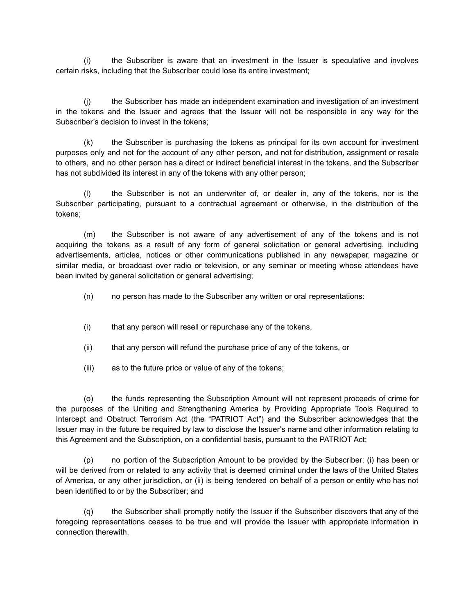(i) the Subscriber is aware that an investment in the Issuer is speculative and involves certain risks, including that the Subscriber could lose its entire investment;

(j) the Subscriber has made an independent examination and investigation of an investment in the tokens and the Issuer and agrees that the Issuer will not be responsible in any way for the Subscriber's decision to invest in the tokens;

(k) the Subscriber is purchasing the tokens as principal for its own account for investment purposes only and not for the account of any other person, and not for distribution, assignment or resale to others, and no other person has a direct or indirect beneficial interest in the tokens, and the Subscriber has not subdivided its interest in any of the tokens with any other person;

(l) the Subscriber is not an underwriter of, or dealer in, any of the tokens, nor is the Subscriber participating, pursuant to a contractual agreement or otherwise, in the distribution of the tokens;

(m) the Subscriber is not aware of any advertisement of any of the tokens and is not acquiring the tokens as a result of any form of general solicitation or general advertising, including advertisements, articles, notices or other communications published in any newspaper, magazine or similar media, or broadcast over radio or television, or any seminar or meeting whose attendees have been invited by general solicitation or general advertising;

- (n) no person has made to the Subscriber any written or oral representations:
- (i) that any person will resell or repurchase any of the tokens,
- (ii) that any person will refund the purchase price of any of the tokens, or
- (iii) as to the future price or value of any of the tokens;

(o) the funds representing the Subscription Amount will not represent proceeds of crime for the purposes of the Uniting and Strengthening America by Providing Appropriate Tools Required to Intercept and Obstruct Terrorism Act (the "PATRIOT Act") and the Subscriber acknowledges that the Issuer may in the future be required by law to disclose the Issuer's name and other information relating to this Agreement and the Subscription, on a confidential basis, pursuant to the PATRIOT Act;

(p) no portion of the Subscription Amount to be provided by the Subscriber: (i) has been or will be derived from or related to any activity that is deemed criminal under the laws of the United States of America, or any other jurisdiction, or (ii) is being tendered on behalf of a person or entity who has not been identified to or by the Subscriber; and

(q) the Subscriber shall promptly notify the Issuer if the Subscriber discovers that any of the foregoing representations ceases to be true and will provide the Issuer with appropriate information in connection therewith.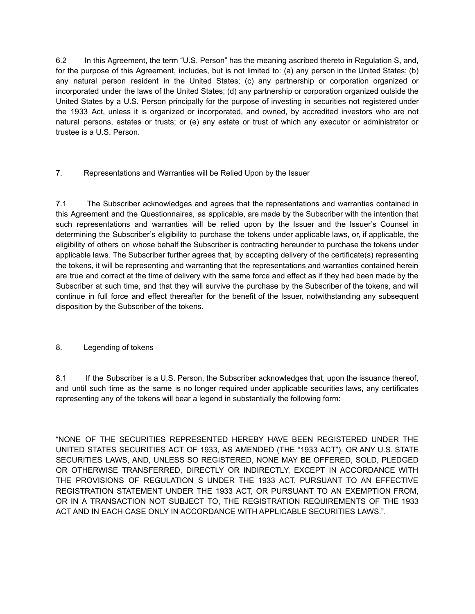6.2 In this Agreement, the term "U.S. Person" has the meaning ascribed thereto in Regulation S, and, for the purpose of this Agreement, includes, but is not limited to: (a) any person in the United States; (b) any natural person resident in the United States; (c) any partnership or corporation organized or incorporated under the laws of the United States; (d) any partnership or corporation organized outside the United States by a U.S. Person principally for the purpose of investing in securities not registered under the 1933 Act, unless it is organized or incorporated, and owned, by accredited investors who are not natural persons, estates or trusts; or (e) any estate or trust of which any executor or administrator or trustee is a U.S. Person.

7. Representations and Warranties will be Relied Upon by the Issuer

7.1 The Subscriber acknowledges and agrees that the representations and warranties contained in this Agreement and the Questionnaires, as applicable, are made by the Subscriber with the intention that such representations and warranties will be relied upon by the Issuer and the Issuer's Counsel in determining the Subscriber's eligibility to purchase the tokens under applicable laws, or, if applicable, the eligibility of others on whose behalf the Subscriber is contracting hereunder to purchase the tokens under applicable laws. The Subscriber further agrees that, by accepting delivery of the certificate(s) representing the tokens, it will be representing and warranting that the representations and warranties contained herein are true and correct at the time of delivery with the same force and effect as if they had been made by the Subscriber at such time, and that they will survive the purchase by the Subscriber of the tokens, and will continue in full force and effect thereafter for the benefit of the Issuer, notwithstanding any subsequent disposition by the Subscriber of the tokens.

# 8. Legending of tokens

8.1 If the Subscriber is a U.S. Person, the Subscriber acknowledges that, upon the issuance thereof, and until such time as the same is no longer required under applicable securities laws, any certificates representing any of the tokens will bear a legend in substantially the following form:

"NONE OF THE SECURITIES REPRESENTED HEREBY HAVE BEEN REGISTERED UNDER THE UNITED STATES SECURITIES ACT OF 1933, AS AMENDED (THE "1933 ACT"), OR ANY U.S. STATE SECURITIES LAWS, AND, UNLESS SO REGISTERED, NONE MAY BE OFFERED, SOLD, PLEDGED OR OTHERWISE TRANSFERRED, DIRECTLY OR INDIRECTLY, EXCEPT IN ACCORDANCE WITH THE PROVISIONS OF REGULATION S UNDER THE 1933 ACT, PURSUANT TO AN EFFECTIVE REGISTRATION STATEMENT UNDER THE 1933 ACT, OR PURSUANT TO AN EXEMPTION FROM, OR IN A TRANSACTION NOT SUBJECT TO, THE REGISTRATION REQUIREMENTS OF THE 1933 ACT AND IN EACH CASE ONLY IN ACCORDANCE WITH APPLICABLE SECURITIES LAWS.".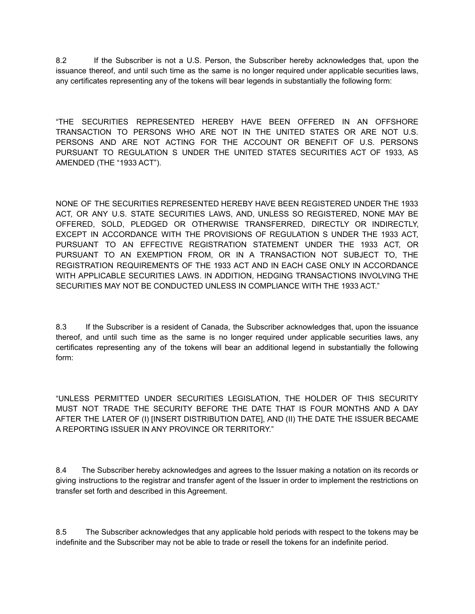8.2 If the Subscriber is not a U.S. Person, the Subscriber hereby acknowledges that, upon the issuance thereof, and until such time as the same is no longer required under applicable securities laws, any certificates representing any of the tokens will bear legends in substantially the following form:

"THE SECURITIES REPRESENTED HEREBY HAVE BEEN OFFERED IN AN OFFSHORE TRANSACTION TO PERSONS WHO ARE NOT IN THE UNITED STATES OR ARE NOT U.S. PERSONS AND ARE NOT ACTING FOR THE ACCOUNT OR BENEFIT OF U.S. PERSONS PURSUANT TO REGULATION S UNDER THE UNITED STATES SECURITIES ACT OF 1933, AS AMENDED (THE "1933 ACT").

NONE OF THE SECURITIES REPRESENTED HEREBY HAVE BEEN REGISTERED UNDER THE 1933 ACT, OR ANY U.S. STATE SECURITIES LAWS, AND, UNLESS SO REGISTERED, NONE MAY BE OFFERED, SOLD, PLEDGED OR OTHERWISE TRANSFERRED, DIRECTLY OR INDIRECTLY, EXCEPT IN ACCORDANCE WITH THE PROVISIONS OF REGULATION S UNDER THE 1933 ACT, PURSUANT TO AN EFFECTIVE REGISTRATION STATEMENT UNDER THE 1933 ACT, OR PURSUANT TO AN EXEMPTION FROM, OR IN A TRANSACTION NOT SUBJECT TO, THE REGISTRATION REQUIREMENTS OF THE 1933 ACT AND IN EACH CASE ONLY IN ACCORDANCE WITH APPLICABLE SECURITIES LAWS. IN ADDITION, HEDGING TRANSACTIONS INVOLVING THE SECURITIES MAY NOT BE CONDUCTED UNLESS IN COMPLIANCE WITH THE 1933 ACT."

8.3 If the Subscriber is a resident of Canada, the Subscriber acknowledges that, upon the issuance thereof, and until such time as the same is no longer required under applicable securities laws, any certificates representing any of the tokens will bear an additional legend in substantially the following form:

"UNLESS PERMITTED UNDER SECURITIES LEGISLATION, THE HOLDER OF THIS SECURITY MUST NOT TRADE THE SECURITY BEFORE THE DATE THAT IS FOUR MONTHS AND A DAY AFTER THE LATER OF (I) [INSERT DISTRIBUTION DATE], AND (II) THE DATE THE ISSUER BECAME A REPORTING ISSUER IN ANY PROVINCE OR TERRITORY."

8.4 The Subscriber hereby acknowledges and agrees to the Issuer making a notation on its records or giving instructions to the registrar and transfer agent of the Issuer in order to implement the restrictions on transfer set forth and described in this Agreement.

8.5 The Subscriber acknowledges that any applicable hold periods with respect to the tokens may be indefinite and the Subscriber may not be able to trade or resell the tokens for an indefinite period.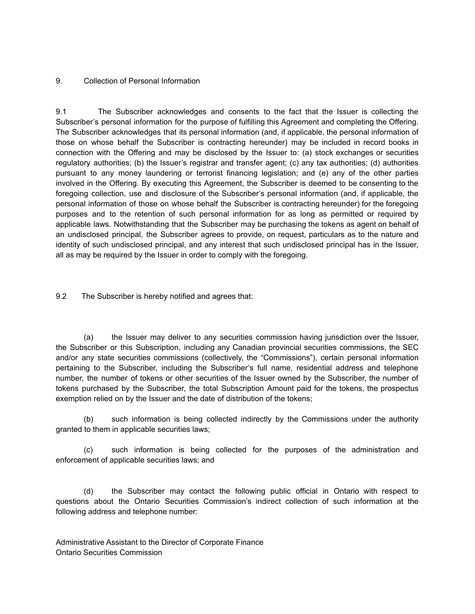#### 9. Collection of Personal Information

9.1 The Subscriber acknowledges and consents to the fact that the Issuer is collecting the Subscriber's personal information for the purpose of fulfilling this Agreement and completing the Offering. The Subscriber acknowledges that its personal information (and, if applicable, the personal information of those on whose behalf the Subscriber is contracting hereunder) may be included in record books in connection with the Offering and may be disclosed by the Issuer to: (a) stock exchanges or securities regulatory authorities; (b) the Issuer's registrar and transfer agent; (c) any tax authorities; (d) authorities pursuant to any money laundering or terrorist financing legislation; and (e) any of the other parties involved in the Offering. By executing this Agreement, the Subscriber is deemed to be consenting to the foregoing collection, use and disclosure of the Subscriber's personal information (and, if applicable, the personal information of those on whose behalf the Subscriber is contracting hereunder) for the foregoing purposes and to the retention of such personal information for as long as permitted or required by applicable laws. Notwithstanding that the Subscriber may be purchasing the tokens as agent on behalf of an undisclosed principal, the Subscriber agrees to provide, on request, particulars as to the nature and identity of such undisclosed principal, and any interest that such undisclosed principal has in the Issuer, all as may be required by the Issuer in order to comply with the foregoing.

9.2 The Subscriber is hereby notified and agrees that:

(a) the Issuer may deliver to any securities commission having jurisdiction over the Issuer, the Subscriber or this Subscription, including any Canadian provincial securities commissions, the SEC and/or any state securities commissions (collectively, the "Commissions"), certain personal information pertaining to the Subscriber, including the Subscriber's full name, residential address and telephone number, the number of tokens or other securities of the Issuer owned by the Subscriber, the number of tokens purchased by the Subscriber, the total Subscription Amount paid for the tokens, the prospectus exemption relied on by the Issuer and the date of distribution of the tokens;

(b) such information is being collected indirectly by the Commissions under the authority granted to them in applicable securities laws;

(c) such information is being collected for the purposes of the administration and enforcement of applicable securities laws; and

(d) the Subscriber may contact the following public official in Ontario with respect to questions about the Ontario Securities Commission's indirect collection of such information at the following address and telephone number:

Administrative Assistant to the Director of Corporate Finance Ontario Securities Commission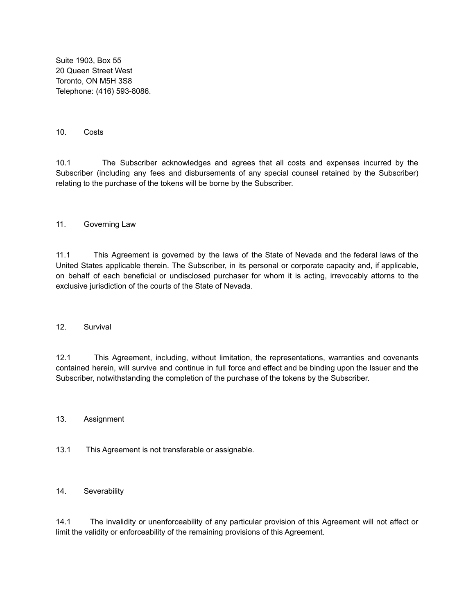Suite 1903, Box 55 20 Queen Street West Toronto, ON M5H 3S8 Telephone: (416) 593-8086.

#### 10. Costs

10.1 The Subscriber acknowledges and agrees that all costs and expenses incurred by the Subscriber (including any fees and disbursements of any special counsel retained by the Subscriber) relating to the purchase of the tokens will be borne by the Subscriber.

#### 11. Governing Law

11.1 This Agreement is governed by the laws of the State of Nevada and the federal laws of the United States applicable therein. The Subscriber, in its personal or corporate capacity and, if applicable, on behalf of each beneficial or undisclosed purchaser for whom it is acting, irrevocably attorns to the exclusive jurisdiction of the courts of the State of Nevada.

#### 12. Survival

12.1 This Agreement, including, without limitation, the representations, warranties and covenants contained herein, will survive and continue in full force and effect and be binding upon the Issuer and the Subscriber, notwithstanding the completion of the purchase of the tokens by the Subscriber.

#### 13. Assignment

13.1 This Agreement is not transferable or assignable.

#### 14. Severability

14.1 The invalidity or unenforceability of any particular provision of this Agreement will not affect or limit the validity or enforceability of the remaining provisions of this Agreement.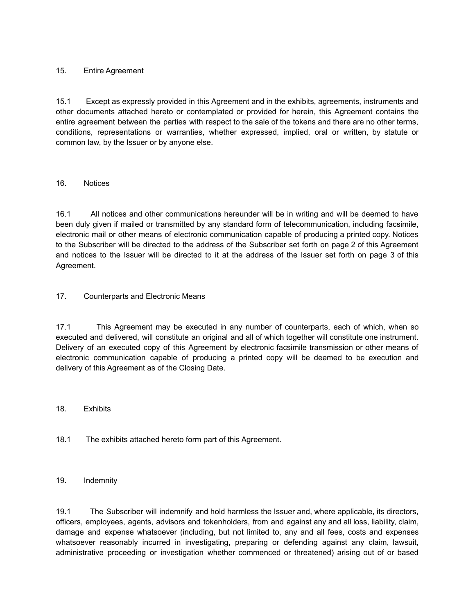# 15. Entire Agreement

15.1 Except as expressly provided in this Agreement and in the exhibits, agreements, instruments and other documents attached hereto or contemplated or provided for herein, this Agreement contains the entire agreement between the parties with respect to the sale of the tokens and there are no other terms, conditions, representations or warranties, whether expressed, implied, oral or written, by statute or common law, by the Issuer or by anyone else.

# 16. Notices

16.1 All notices and other communications hereunder will be in writing and will be deemed to have been duly given if mailed or transmitted by any standard form of telecommunication, including facsimile, electronic mail or other means of electronic communication capable of producing a printed copy. Notices to the Subscriber will be directed to the address of the Subscriber set forth on page 2 of this Agreement and notices to the Issuer will be directed to it at the address of the Issuer set forth on page 3 of this Agreement.

# 17. Counterparts and Electronic Means

17.1 This Agreement may be executed in any number of counterparts, each of which, when so executed and delivered, will constitute an original and all of which together will constitute one instrument. Delivery of an executed copy of this Agreement by electronic facsimile transmission or other means of electronic communication capable of producing a printed copy will be deemed to be execution and delivery of this Agreement as of the Closing Date.

#### 18. Exhibits

18.1 The exhibits attached hereto form part of this Agreement.

#### 19. Indemnity

19.1 The Subscriber will indemnify and hold harmless the Issuer and, where applicable, its directors, officers, employees, agents, advisors and tokenholders, from and against any and all loss, liability, claim, damage and expense whatsoever (including, but not limited to, any and all fees, costs and expenses whatsoever reasonably incurred in investigating, preparing or defending against any claim, lawsuit, administrative proceeding or investigation whether commenced or threatened) arising out of or based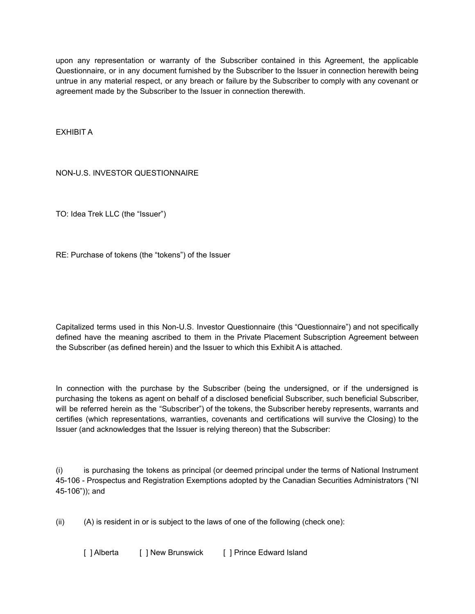upon any representation or warranty of the Subscriber contained in this Agreement, the applicable Questionnaire, or in any document furnished by the Subscriber to the Issuer in connection herewith being untrue in any material respect, or any breach or failure by the Subscriber to comply with any covenant or agreement made by the Subscriber to the Issuer in connection therewith.

EXHIBIT A

NON-U.S. INVESTOR QUESTIONNAIRE

TO: Idea Trek LLC (the "Issuer")

RE: Purchase of tokens (the "tokens") of the Issuer

Capitalized terms used in this Non-U.S. Investor Questionnaire (this "Questionnaire") and not specifically defined have the meaning ascribed to them in the Private Placement Subscription Agreement between the Subscriber (as defined herein) and the Issuer to which this Exhibit A is attached.

In connection with the purchase by the Subscriber (being the undersigned, or if the undersigned is purchasing the tokens as agent on behalf of a disclosed beneficial Subscriber, such beneficial Subscriber, will be referred herein as the "Subscriber") of the tokens, the Subscriber hereby represents, warrants and certifies (which representations, warranties, covenants and certifications will survive the Closing) to the Issuer (and acknowledges that the Issuer is relying thereon) that the Subscriber:

(i) is purchasing the tokens as principal (or deemed principal under the terms of National Instrument 45-106 - Prospectus and Registration Exemptions adopted by the Canadian Securities Administrators ("NI 45-106")); and

 $(ii)$  (A) is resident in or is subject to the laws of one of the following (check one):

[ ] Alberta [ ] New Brunswick [ ] Prince Edward Island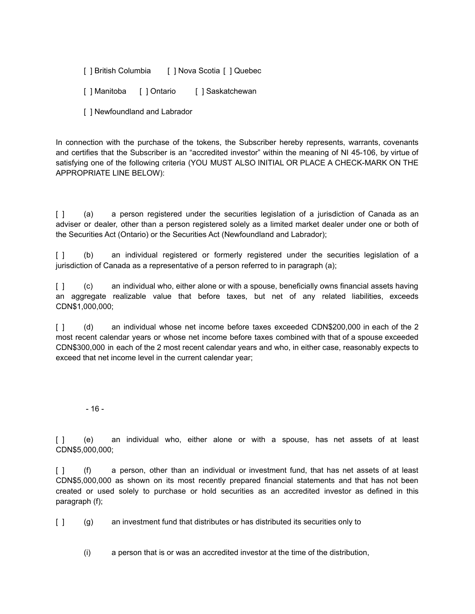[ ] British Columbia [ ] Nova Scotia [ ] Quebec

[ ] Manitoba [ ] Ontario [ ] Saskatchewan

[ ] Newfoundland and Labrador

In connection with the purchase of the tokens, the Subscriber hereby represents, warrants, covenants and certifies that the Subscriber is an "accredited investor" within the meaning of NI 45-106, by virtue of satisfying one of the following criteria (YOU MUST ALSO INITIAL OR PLACE A CHECK-MARK ON THE APPROPRIATE LINE BELOW):

[ ] (a) a person registered under the securities legislation of a jurisdiction of Canada as an adviser or dealer, other than a person registered solely as a limited market dealer under one or both of the Securities Act (Ontario) or the Securities Act (Newfoundland and Labrador);

[ ] (b) an individual registered or formerly registered under the securities legislation of a jurisdiction of Canada as a representative of a person referred to in paragraph (a);

[ ] (c) an individual who, either alone or with a spouse, beneficially owns financial assets having an aggregate realizable value that before taxes, but net of any related liabilities, exceeds CDN\$1,000,000;

[ ] (d) an individual whose net income before taxes exceeded CDN\$200,000 in each of the 2 most recent calendar years or whose net income before taxes combined with that of a spouse exceeded CDN\$300,000 in each of the 2 most recent calendar years and who, in either case, reasonably expects to exceed that net income level in the current calendar year;

- 16 -

[ ] (e) an individual who, either alone or with a spouse, has net assets of at least CDN\$5,000,000;

[ ] (f) a person, other than an individual or investment fund, that has net assets of at least CDN\$5,000,000 as shown on its most recently prepared financial statements and that has not been created or used solely to purchase or hold securities as an accredited investor as defined in this paragraph (f);

[ ] (g) an investment fund that distributes or has distributed its securities only to

(i) a person that is or was an accredited investor at the time of the distribution,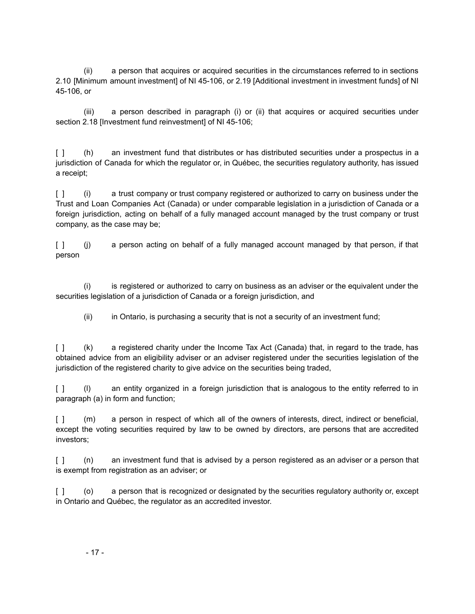(ii) a person that acquires or acquired securities in the circumstances referred to in sections 2.10 [Minimum amount investment] of NI 45-106, or 2.19 [Additional investment in investment funds] of NI 45-106, or

(iii) a person described in paragraph (i) or (ii) that acquires or acquired securities under section 2.18 [Investment fund reinvestment] of NI 45-106;

[ ] (h) an investment fund that distributes or has distributed securities under a prospectus in a jurisdiction of Canada for which the regulator or, in Québec, the securities regulatory authority, has issued a receipt;

[ ] (i) a trust company or trust company registered or authorized to carry on business under the Trust and Loan Companies Act (Canada) or under comparable legislation in a jurisdiction of Canada or a foreign jurisdiction, acting on behalf of a fully managed account managed by the trust company or trust company, as the case may be;

[ ] (j) a person acting on behalf of a fully managed account managed by that person, if that person

(i) is registered or authorized to carry on business as an adviser or the equivalent under the securities legislation of a jurisdiction of Canada or a foreign jurisdiction, and

(ii) in Ontario, is purchasing a security that is not a security of an investment fund;

[ ] (k) a registered charity under the Income Tax Act (Canada) that, in regard to the trade, has obtained advice from an eligibility adviser or an adviser registered under the securities legislation of the jurisdiction of the registered charity to give advice on the securities being traded,

[ ] (l) an entity organized in a foreign jurisdiction that is analogous to the entity referred to in paragraph (a) in form and function;

[ ] (m) a person in respect of which all of the owners of interests, direct, indirect or beneficial, except the voting securities required by law to be owned by directors, are persons that are accredited investors;

[ ] (n) an investment fund that is advised by a person registered as an adviser or a person that is exempt from registration as an adviser; or

[ ] (o) a person that is recognized or designated by the securities regulatory authority or, except in Ontario and Québec, the regulator as an accredited investor.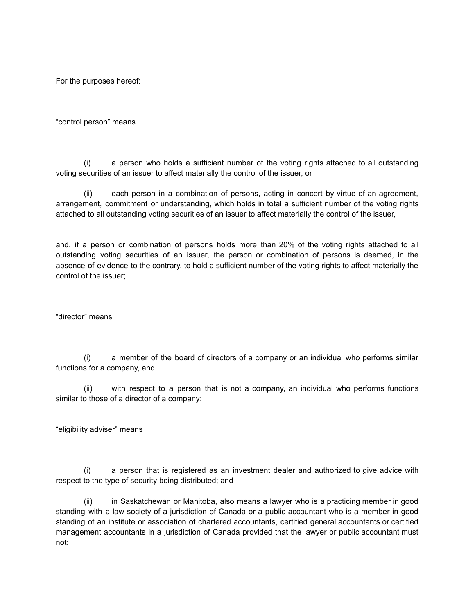For the purposes hereof:

"control person" means

(i) a person who holds a sufficient number of the voting rights attached to all outstanding voting securities of an issuer to affect materially the control of the issuer, or

(ii) each person in a combination of persons, acting in concert by virtue of an agreement, arrangement, commitment or understanding, which holds in total a sufficient number of the voting rights attached to all outstanding voting securities of an issuer to affect materially the control of the issuer,

and, if a person or combination of persons holds more than 20% of the voting rights attached to all outstanding voting securities of an issuer, the person or combination of persons is deemed, in the absence of evidence to the contrary, to hold a sufficient number of the voting rights to affect materially the control of the issuer;

"director" means

(i) a member of the board of directors of a company or an individual who performs similar functions for a company, and

(ii) with respect to a person that is not a company, an individual who performs functions similar to those of a director of a company;

"eligibility adviser" means

(i) a person that is registered as an investment dealer and authorized to give advice with respect to the type of security being distributed; and

(ii) in Saskatchewan or Manitoba, also means a lawyer who is a practicing member in good standing with a law society of a jurisdiction of Canada or a public accountant who is a member in good standing of an institute or association of chartered accountants, certified general accountants or certified management accountants in a jurisdiction of Canada provided that the lawyer or public accountant must not: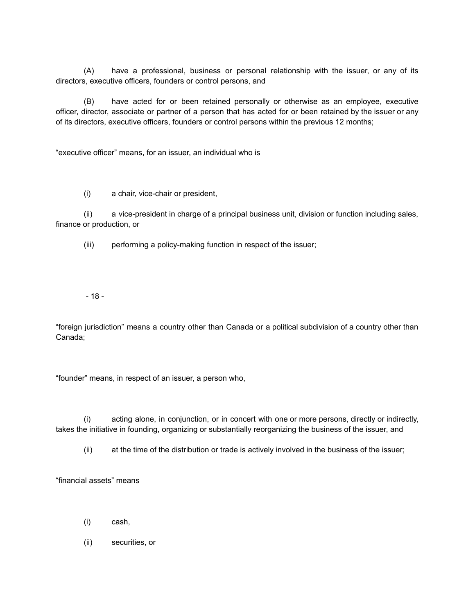(A) have a professional, business or personal relationship with the issuer, or any of its directors, executive officers, founders or control persons, and

(B) have acted for or been retained personally or otherwise as an employee, executive officer, director, associate or partner of a person that has acted for or been retained by the issuer or any of its directors, executive officers, founders or control persons within the previous 12 months;

"executive officer" means, for an issuer, an individual who is

(i) a chair, vice-chair or president,

(ii) a vice-president in charge of a principal business unit, division or function including sales, finance or production, or

(iii) performing a policy-making function in respect of the issuer;

- 18 -

"foreign jurisdiction" means a country other than Canada or a political subdivision of a country other than Canada;

"founder" means, in respect of an issuer, a person who,

(i) acting alone, in conjunction, or in concert with one or more persons, directly or indirectly, takes the initiative in founding, organizing or substantially reorganizing the business of the issuer, and

(ii) at the time of the distribution or trade is actively involved in the business of the issuer;

"financial assets" means

- (i) cash,
- (ii) securities, or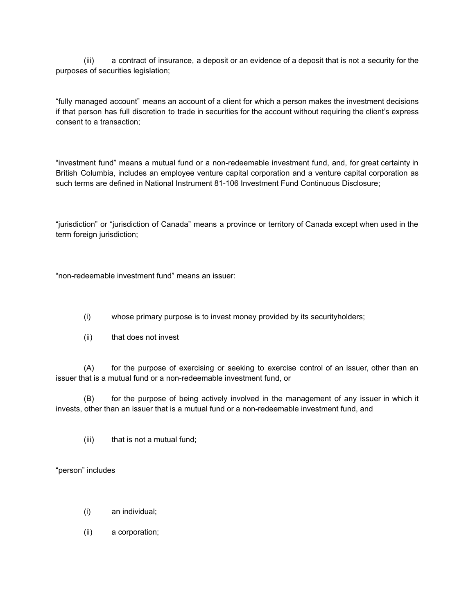(iii) a contract of insurance, a deposit or an evidence of a deposit that is not a security for the purposes of securities legislation;

"fully managed account" means an account of a client for which a person makes the investment decisions if that person has full discretion to trade in securities for the account without requiring the client's express consent to a transaction;

"investment fund" means a mutual fund or a non-redeemable investment fund, and, for great certainty in British Columbia, includes an employee venture capital corporation and a venture capital corporation as such terms are defined in National Instrument 81-106 Investment Fund Continuous Disclosure;

"jurisdiction" or "jurisdiction of Canada" means a province or territory of Canada except when used in the term foreign jurisdiction;

"non-redeemable investment fund" means an issuer:

- (i) whose primary purpose is to invest money provided by its securityholders;
- (ii) that does not invest

(A) for the purpose of exercising or seeking to exercise control of an issuer, other than an issuer that is a mutual fund or a non-redeemable investment fund, or

(B) for the purpose of being actively involved in the management of any issuer in which it invests, other than an issuer that is a mutual fund or a non-redeemable investment fund, and

(iii) that is not a mutual fund;

"person" includes

- (i) an individual;
- (ii) a corporation;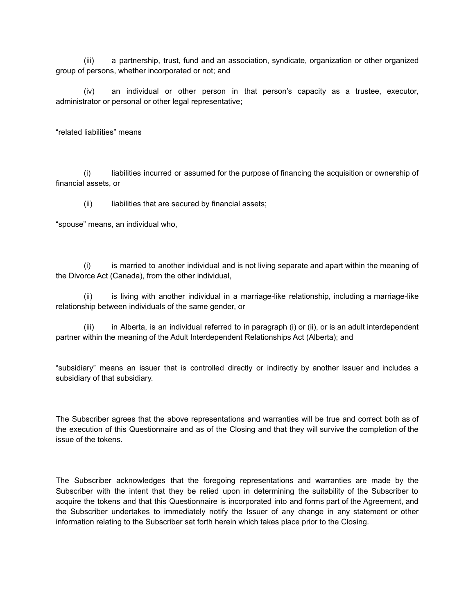(iii) a partnership, trust, fund and an association, syndicate, organization or other organized group of persons, whether incorporated or not; and

(iv) an individual or other person in that person's capacity as a trustee, executor, administrator or personal or other legal representative;

"related liabilities" means

(i) liabilities incurred or assumed for the purpose of financing the acquisition or ownership of financial assets, or

(ii) liabilities that are secured by financial assets;

"spouse" means, an individual who,

(i) is married to another individual and is not living separate and apart within the meaning of the Divorce Act (Canada), from the other individual,

(ii) is living with another individual in a marriage-like relationship, including a marriage-like relationship between individuals of the same gender, or

(iii) in Alberta, is an individual referred to in paragraph (i) or (ii), or is an adult interdependent partner within the meaning of the Adult Interdependent Relationships Act (Alberta); and

"subsidiary" means an issuer that is controlled directly or indirectly by another issuer and includes a subsidiary of that subsidiary.

The Subscriber agrees that the above representations and warranties will be true and correct both as of the execution of this Questionnaire and as of the Closing and that they will survive the completion of the issue of the tokens.

The Subscriber acknowledges that the foregoing representations and warranties are made by the Subscriber with the intent that they be relied upon in determining the suitability of the Subscriber to acquire the tokens and that this Questionnaire is incorporated into and forms part of the Agreement, and the Subscriber undertakes to immediately notify the Issuer of any change in any statement or other information relating to the Subscriber set forth herein which takes place prior to the Closing.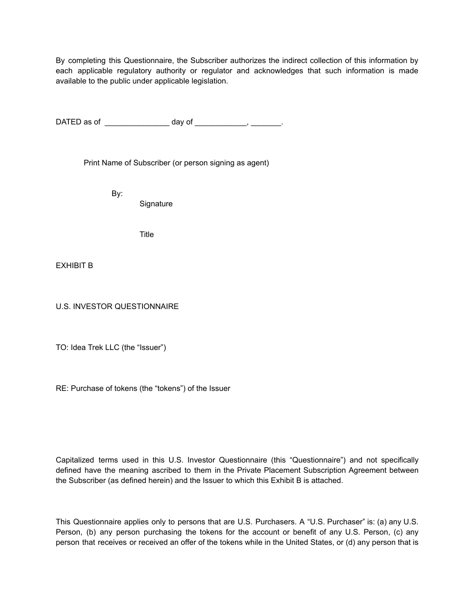By completing this Questionnaire, the Subscriber authorizes the indirect collection of this information by each applicable regulatory authority or regulator and acknowledges that such information is made available to the public under applicable legislation.

DATED as of \_\_\_\_\_\_\_\_\_\_\_\_\_\_\_\_ day of \_\_\_\_\_\_\_\_\_\_\_\_, \_\_\_\_\_\_\_\_.

Print Name of Subscriber (or person signing as agent)

By:

**Signature** 

Title

EXHIBIT B

U.S. INVESTOR QUESTIONNAIRE

TO: Idea Trek LLC (the "Issuer")

RE: Purchase of tokens (the "tokens") of the Issuer

Capitalized terms used in this U.S. Investor Questionnaire (this "Questionnaire") and not specifically defined have the meaning ascribed to them in the Private Placement Subscription Agreement between the Subscriber (as defined herein) and the Issuer to which this Exhibit B is attached.

This Questionnaire applies only to persons that are U.S. Purchasers. A "U.S. Purchaser" is: (a) any U.S. Person, (b) any person purchasing the tokens for the account or benefit of any U.S. Person, (c) any person that receives or received an offer of the tokens while in the United States, or (d) any person that is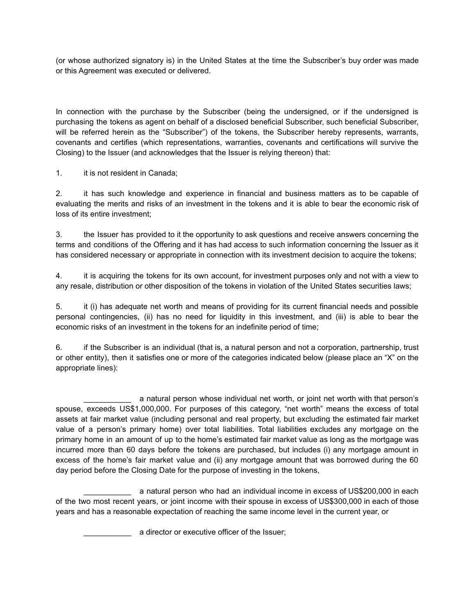(or whose authorized signatory is) in the United States at the time the Subscriber's buy order was made or this Agreement was executed or delivered.

In connection with the purchase by the Subscriber (being the undersigned, or if the undersigned is purchasing the tokens as agent on behalf of a disclosed beneficial Subscriber, such beneficial Subscriber, will be referred herein as the "Subscriber") of the tokens, the Subscriber hereby represents, warrants, covenants and certifies (which representations, warranties, covenants and certifications will survive the Closing) to the Issuer (and acknowledges that the Issuer is relying thereon) that:

1. it is not resident in Canada;

2. it has such knowledge and experience in financial and business matters as to be capable of evaluating the merits and risks of an investment in the tokens and it is able to bear the economic risk of loss of its entire investment;

3. the Issuer has provided to it the opportunity to ask questions and receive answers concerning the terms and conditions of the Offering and it has had access to such information concerning the Issuer as it has considered necessary or appropriate in connection with its investment decision to acquire the tokens;

4. it is acquiring the tokens for its own account, for investment purposes only and not with a view to any resale, distribution or other disposition of the tokens in violation of the United States securities laws;

5. it (i) has adequate net worth and means of providing for its current financial needs and possible personal contingencies, (ii) has no need for liquidity in this investment, and (iii) is able to bear the economic risks of an investment in the tokens for an indefinite period of time;

6. if the Subscriber is an individual (that is, a natural person and not a corporation, partnership, trust or other entity), then it satisfies one or more of the categories indicated below (please place an "X" on the appropriate lines):

a natural person whose individual net worth, or joint net worth with that person's spouse, exceeds US\$1,000,000. For purposes of this category, "net worth" means the excess of total assets at fair market value (including personal and real property, but excluding the estimated fair market value of a person's primary home) over total liabilities. Total liabilities excludes any mortgage on the primary home in an amount of up to the home's estimated fair market value as long as the mortgage was incurred more than 60 days before the tokens are purchased, but includes (i) any mortgage amount in excess of the home's fair market value and (ii) any mortgage amount that was borrowed during the 60 day period before the Closing Date for the purpose of investing in the tokens,

a natural person who had an individual income in excess of US\$200,000 in each of the two most recent years, or joint income with their spouse in excess of US\$300,000 in each of those years and has a reasonable expectation of reaching the same income level in the current year, or

a director or executive officer of the Issuer;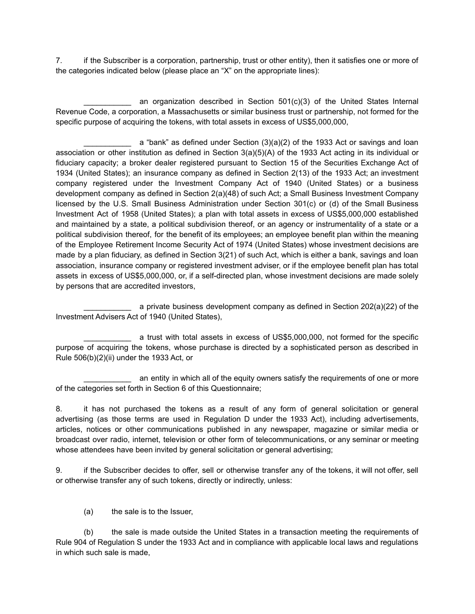7. if the Subscriber is a corporation, partnership, trust or other entity), then it satisfies one or more of the categories indicated below (please place an "X" on the appropriate lines):

an organization described in Section 501(c)(3) of the United States Internal Revenue Code, a corporation, a Massachusetts or similar business trust or partnership, not formed for the specific purpose of acquiring the tokens, with total assets in excess of US\$5,000,000,

a "bank" as defined under Section  $(3)(a)(2)$  of the 1933 Act or savings and loan association or other institution as defined in Section 3(a)(5)(A) of the 1933 Act acting in its individual or fiduciary capacity; a broker dealer registered pursuant to Section 15 of the Securities Exchange Act of 1934 (United States); an insurance company as defined in Section 2(13) of the 1933 Act; an investment company registered under the Investment Company Act of 1940 (United States) or a business development company as defined in Section 2(a)(48) of such Act; a Small Business Investment Company licensed by the U.S. Small Business Administration under Section 301(c) or (d) of the Small Business Investment Act of 1958 (United States); a plan with total assets in excess of US\$5,000,000 established and maintained by a state, a political subdivision thereof, or an agency or instrumentality of a state or a political subdivision thereof, for the benefit of its employees; an employee benefit plan within the meaning of the Employee Retirement Income Security Act of 1974 (United States) whose investment decisions are made by a plan fiduciary, as defined in Section 3(21) of such Act, which is either a bank, savings and loan association, insurance company or registered investment adviser, or if the employee benefit plan has total assets in excess of US\$5,000,000, or, if a self-directed plan, whose investment decisions are made solely by persons that are accredited investors,

a private business development company as defined in Section 202(a)(22) of the Investment Advisers Act of 1940 (United States),

a trust with total assets in excess of US\$5,000,000, not formed for the specific purpose of acquiring the tokens, whose purchase is directed by a sophisticated person as described in Rule 506(b)(2)(ii) under the 1933 Act, or

an entity in which all of the equity owners satisfy the requirements of one or more of the categories set forth in Section 6 of this Questionnaire;

8. it has not purchased the tokens as a result of any form of general solicitation or general advertising (as those terms are used in Regulation D under the 1933 Act), including advertisements, articles, notices or other communications published in any newspaper, magazine or similar media or broadcast over radio, internet, television or other form of telecommunications, or any seminar or meeting whose attendees have been invited by general solicitation or general advertising;

9. if the Subscriber decides to offer, sell or otherwise transfer any of the tokens, it will not offer, sell or otherwise transfer any of such tokens, directly or indirectly, unless:

(a) the sale is to the Issuer,

(b) the sale is made outside the United States in a transaction meeting the requirements of Rule 904 of Regulation S under the 1933 Act and in compliance with applicable local laws and regulations in which such sale is made,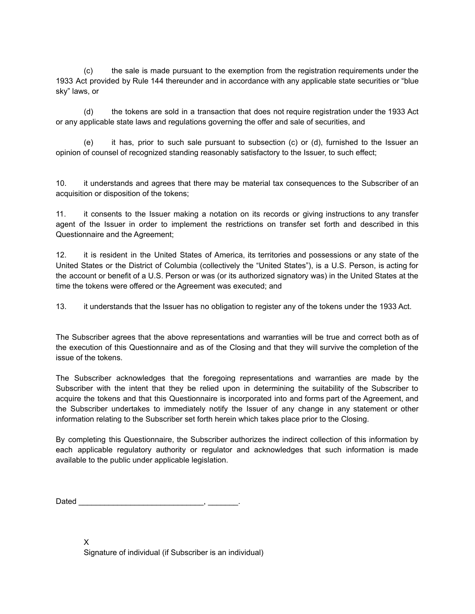(c) the sale is made pursuant to the exemption from the registration requirements under the 1933 Act provided by Rule 144 thereunder and in accordance with any applicable state securities or "blue sky" laws, or

(d) the tokens are sold in a transaction that does not require registration under the 1933 Act or any applicable state laws and regulations governing the offer and sale of securities, and

(e) it has, prior to such sale pursuant to subsection (c) or (d), furnished to the Issuer an opinion of counsel of recognized standing reasonably satisfactory to the Issuer, to such effect;

10. it understands and agrees that there may be material tax consequences to the Subscriber of an acquisition or disposition of the tokens;

11. it consents to the Issuer making a notation on its records or giving instructions to any transfer agent of the Issuer in order to implement the restrictions on transfer set forth and described in this Questionnaire and the Agreement;

12. it is resident in the United States of America, its territories and possessions or any state of the United States or the District of Columbia (collectively the "United States"), is a U.S. Person, is acting for the account or benefit of a U.S. Person or was (or its authorized signatory was) in the United States at the time the tokens were offered or the Agreement was executed; and

13. it understands that the Issuer has no obligation to register any of the tokens under the 1933 Act.

The Subscriber agrees that the above representations and warranties will be true and correct both as of the execution of this Questionnaire and as of the Closing and that they will survive the completion of the issue of the tokens.

The Subscriber acknowledges that the foregoing representations and warranties are made by the Subscriber with the intent that they be relied upon in determining the suitability of the Subscriber to acquire the tokens and that this Questionnaire is incorporated into and forms part of the Agreement, and the Subscriber undertakes to immediately notify the Issuer of any change in any statement or other information relating to the Subscriber set forth herein which takes place prior to the Closing.

By completing this Questionnaire, the Subscriber authorizes the indirect collection of this information by each applicable regulatory authority or regulator and acknowledges that such information is made available to the public under applicable legislation.

Dated \_\_\_\_\_\_\_\_\_\_\_\_\_\_\_\_\_\_\_\_\_\_\_\_\_\_\_\_\_, \_\_\_\_\_\_\_.

X Signature of individual (if Subscriber is an individual)